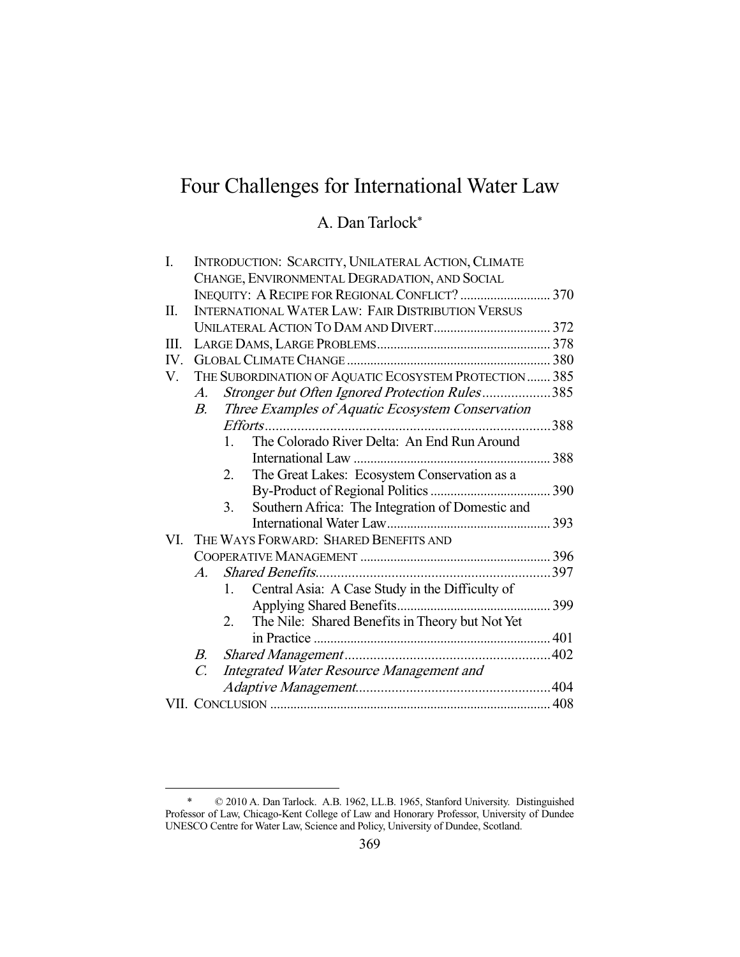# Four Challenges for International Water Law

# A. Dan Tarlock\*

| I.  | INTRODUCTION: SCARCITY, UNILATERAL ACTION, CLIMATE          |                                                |                                                  |  |
|-----|-------------------------------------------------------------|------------------------------------------------|--------------------------------------------------|--|
|     | CHANGE, ENVIRONMENTAL DEGRADATION, AND SOCIAL               |                                                |                                                  |  |
|     | INEQUITY: A RECIPE FOR REGIONAL CONFLICT?  370              |                                                |                                                  |  |
| Π.  | <b>INTERNATIONAL WATER LAW: FAIR DISTRIBUTION VERSUS</b>    |                                                |                                                  |  |
|     |                                                             |                                                |                                                  |  |
| Ш.  |                                                             |                                                |                                                  |  |
| IV. |                                                             |                                                |                                                  |  |
| V.  | THE SUBORDINATION OF AQUATIC ECOSYSTEM PROTECTION  385      |                                                |                                                  |  |
|     | A.                                                          | Stronger but Often Ignored Protection Rules385 |                                                  |  |
|     | $B_{-}$                                                     |                                                | Three Examples of Aquatic Ecosystem Conservation |  |
|     |                                                             |                                                |                                                  |  |
|     |                                                             | 1.                                             | The Colorado River Delta: An End Run Around      |  |
|     |                                                             |                                                |                                                  |  |
|     |                                                             | 2.                                             | The Great Lakes: Ecosystem Conservation as a     |  |
|     |                                                             |                                                |                                                  |  |
|     |                                                             | 3.                                             | Southern Africa: The Integration of Domestic and |  |
|     |                                                             |                                                |                                                  |  |
| VI. | THE WAYS FORWARD: SHARED BENEFITS AND                       |                                                |                                                  |  |
|     |                                                             |                                                |                                                  |  |
|     | $A_{\cdot}$                                                 |                                                |                                                  |  |
|     |                                                             | 1.                                             | Central Asia: A Case Study in the Difficulty of  |  |
|     |                                                             |                                                |                                                  |  |
|     |                                                             | 2.                                             | The Nile: Shared Benefits in Theory but Not Yet  |  |
|     |                                                             |                                                |                                                  |  |
|     | B.                                                          |                                                |                                                  |  |
|     | Integrated Water Resource Management and<br>$\mathcal{C}$ . |                                                |                                                  |  |
|     |                                                             |                                                |                                                  |  |
|     |                                                             |                                                |                                                  |  |
|     |                                                             |                                                |                                                  |  |

 <sup>\* © 2010</sup> A. Dan Tarlock. A.B. 1962, LL.B. 1965, Stanford University. Distinguished Professor of Law, Chicago-Kent College of Law and Honorary Professor, University of Dundee UNESCO Centre for Water Law, Science and Policy, University of Dundee, Scotland.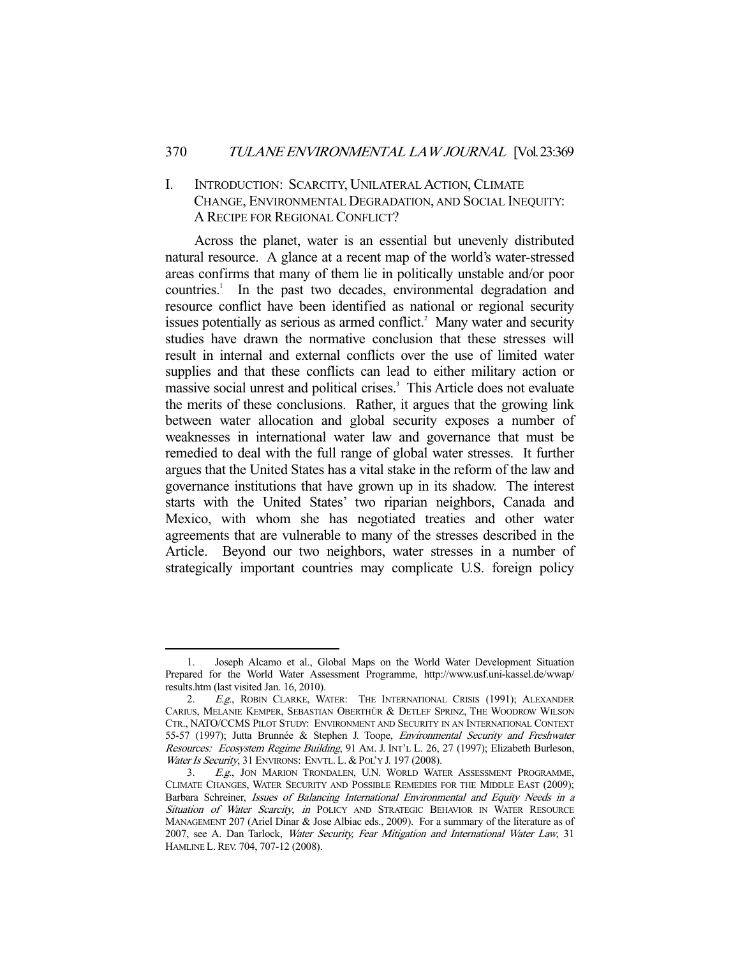# I. INTRODUCTION: SCARCITY, UNILATERAL ACTION, CLIMATE CHANGE, ENVIRONMENTAL DEGRADATION, AND SOCIAL INEQUITY: A RECIPE FOR REGIONAL CONFLICT?

 Across the planet, water is an essential but unevenly distributed natural resource. A glance at a recent map of the world's water-stressed areas confirms that many of them lie in politically unstable and/or poor countries.<sup>1</sup> In the past two decades, environmental degradation and resource conflict have been identified as national or regional security issues potentially as serious as armed conflict.<sup>2</sup> Many water and security studies have drawn the normative conclusion that these stresses will result in internal and external conflicts over the use of limited water supplies and that these conflicts can lead to either military action or massive social unrest and political crises.<sup>3</sup> This Article does not evaluate the merits of these conclusions. Rather, it argues that the growing link between water allocation and global security exposes a number of weaknesses in international water law and governance that must be remedied to deal with the full range of global water stresses. It further argues that the United States has a vital stake in the reform of the law and governance institutions that have grown up in its shadow. The interest starts with the United States' two riparian neighbors, Canada and Mexico, with whom she has negotiated treaties and other water agreements that are vulnerable to many of the stresses described in the Article. Beyond our two neighbors, water stresses in a number of strategically important countries may complicate U.S. foreign policy

 <sup>1.</sup> Joseph Alcamo et al., Global Maps on the World Water Development Situation Prepared for the World Water Assessment Programme, http://www.usf.uni-kassel.de/wwap/ results.htm (last visited Jan. 16, 2010).

<sup>2.</sup> E.g., ROBIN CLARKE, WATER: THE INTERNATIONAL CRISIS (1991); ALEXANDER CARIUS, MELANIE KEMPER, SEBASTIAN OBERTHÜR & DETLEF SPRINZ, THE WOODROW WILSON CTR., NATO/CCMS PILOT STUDY: ENVIRONMENT AND SECURITY IN AN INTERNATIONAL CONTEXT 55-57 (1997); Jutta Brunnée & Stephen J. Toope, Environmental Security and Freshwater Resources: Ecosystem Regime Building, 91 AM. J. INT'L L. 26, 27 (1997); Elizabeth Burleson, Water Is Security, 31 ENVIRONS: ENVTL. L. & POL'Y J. 197 (2008).

<sup>3.</sup> E.g., JON MARION TRONDALEN, U.N. WORLD WATER ASSESSMENT PROGRAMME, CLIMATE CHANGES, WATER SECURITY AND POSSIBLE REMEDIES FOR THE MIDDLE EAST (2009); Barbara Schreiner, Issues of Balancing International Environmental and Equity Needs in a Situation of Water Scarcity, in POLICY AND STRATEGIC BEHAVIOR IN WATER RESOURCE MANAGEMENT 207 (Ariel Dinar & Jose Albiac eds., 2009). For a summary of the literature as of 2007, see A. Dan Tarlock, Water Security, Fear Mitigation and International Water Law, 31 HAMLINE L.REV. 704, 707-12 (2008).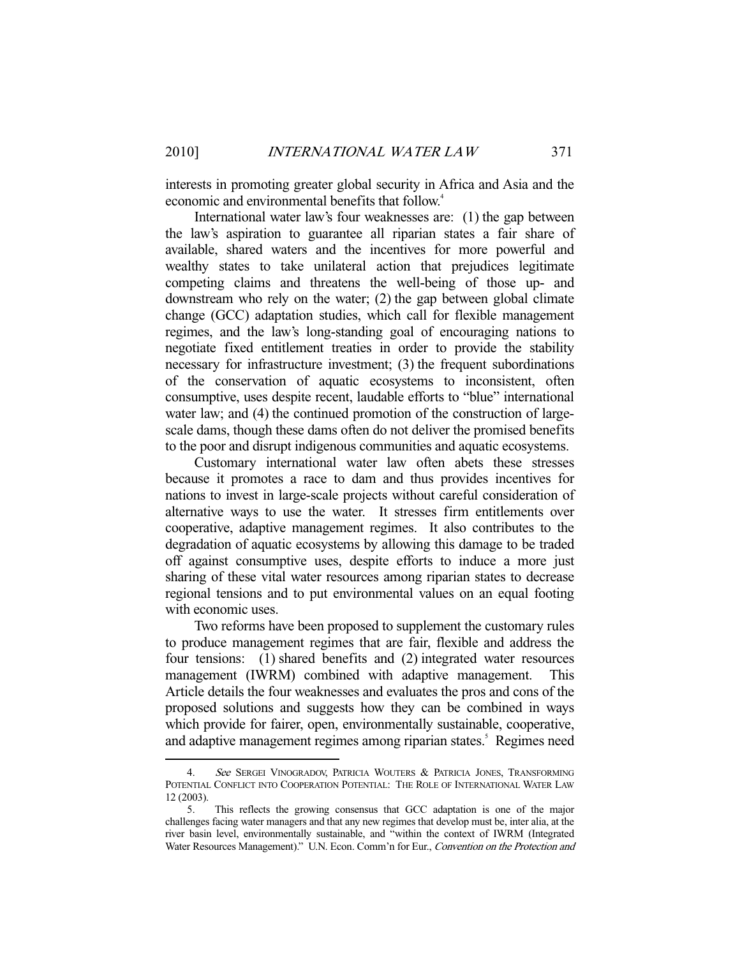interests in promoting greater global security in Africa and Asia and the economic and environmental benefits that follow.<sup>4</sup>

 International water law's four weaknesses are: (1) the gap between the law's aspiration to guarantee all riparian states a fair share of available, shared waters and the incentives for more powerful and wealthy states to take unilateral action that prejudices legitimate competing claims and threatens the well-being of those up- and downstream who rely on the water; (2) the gap between global climate change (GCC) adaptation studies, which call for flexible management regimes, and the law's long-standing goal of encouraging nations to negotiate fixed entitlement treaties in order to provide the stability necessary for infrastructure investment; (3) the frequent subordinations of the conservation of aquatic ecosystems to inconsistent, often consumptive, uses despite recent, laudable efforts to "blue" international water law; and (4) the continued promotion of the construction of largescale dams, though these dams often do not deliver the promised benefits to the poor and disrupt indigenous communities and aquatic ecosystems.

 Customary international water law often abets these stresses because it promotes a race to dam and thus provides incentives for nations to invest in large-scale projects without careful consideration of alternative ways to use the water. It stresses firm entitlements over cooperative, adaptive management regimes. It also contributes to the degradation of aquatic ecosystems by allowing this damage to be traded off against consumptive uses, despite efforts to induce a more just sharing of these vital water resources among riparian states to decrease regional tensions and to put environmental values on an equal footing with economic uses.

 Two reforms have been proposed to supplement the customary rules to produce management regimes that are fair, flexible and address the four tensions: (1) shared benefits and (2) integrated water resources management (IWRM) combined with adaptive management. This Article details the four weaknesses and evaluates the pros and cons of the proposed solutions and suggests how they can be combined in ways which provide for fairer, open, environmentally sustainable, cooperative, and adaptive management regimes among riparian states.<sup>5</sup> Regimes need

<sup>4.</sup> See SERGEI VINOGRADOV, PATRICIA WOUTERS & PATRICIA JONES, TRANSFORMING POTENTIAL CONFLICT INTO COOPERATION POTENTIAL: THE ROLE OF INTERNATIONAL WATER LAW 12 (2003).

 <sup>5.</sup> This reflects the growing consensus that GCC adaptation is one of the major challenges facing water managers and that any new regimes that develop must be, inter alia, at the river basin level, environmentally sustainable, and "within the context of IWRM (Integrated Water Resources Management)." U.N. Econ. Comm'n for Eur., Convention on the Protection and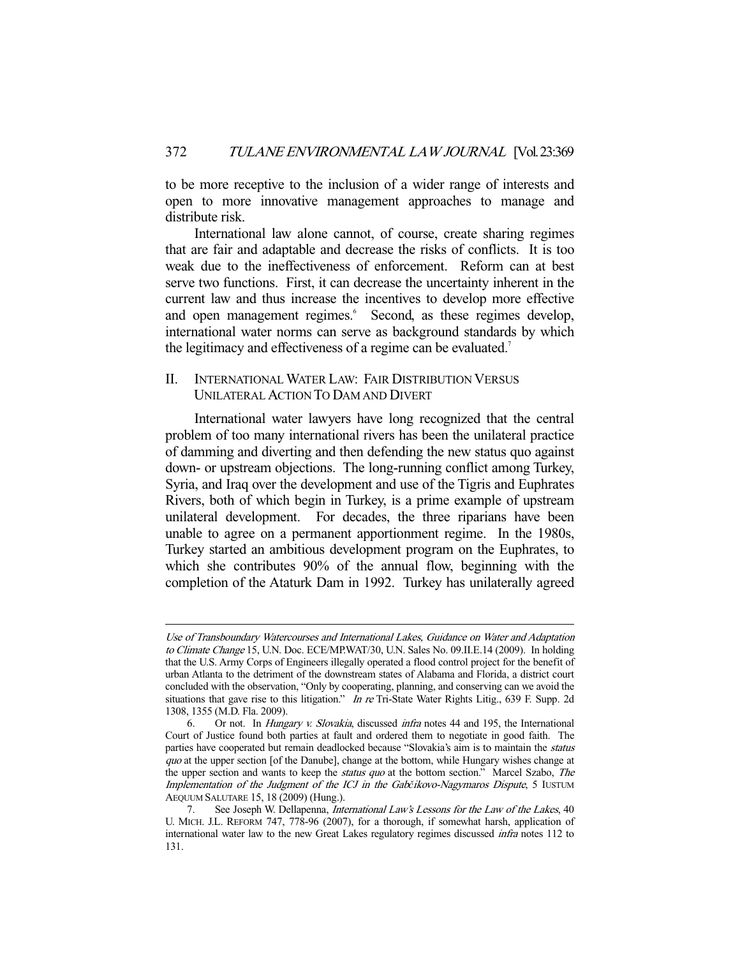to be more receptive to the inclusion of a wider range of interests and open to more innovative management approaches to manage and distribute risk.

 International law alone cannot, of course, create sharing regimes that are fair and adaptable and decrease the risks of conflicts. It is too weak due to the ineffectiveness of enforcement. Reform can at best serve two functions. First, it can decrease the uncertainty inherent in the current law and thus increase the incentives to develop more effective and open management regimes.<sup>6</sup> Second, as these regimes develop, international water norms can serve as background standards by which the legitimacy and effectiveness of a regime can be evaluated.<sup>7</sup>

# II. INTERNATIONAL WATER LAW: FAIR DISTRIBUTION VERSUS UNILATERAL ACTION TO DAM AND DIVERT

 International water lawyers have long recognized that the central problem of too many international rivers has been the unilateral practice of damming and diverting and then defending the new status quo against down- or upstream objections. The long-running conflict among Turkey, Syria, and Iraq over the development and use of the Tigris and Euphrates Rivers, both of which begin in Turkey, is a prime example of upstream unilateral development. For decades, the three riparians have been unable to agree on a permanent apportionment regime. In the 1980s, Turkey started an ambitious development program on the Euphrates, to which she contributes 90% of the annual flow, beginning with the completion of the Ataturk Dam in 1992. Turkey has unilaterally agreed

Use of Transboundary Watercourses and International Lakes, Guidance on Water and Adaptation to Climate Change 15, U.N. Doc. ECE/MP.WAT/30, U.N. Sales No. 09.II.E.14 (2009). In holding that the U.S. Army Corps of Engineers illegally operated a flood control project for the benefit of urban Atlanta to the detriment of the downstream states of Alabama and Florida, a district court concluded with the observation, "Only by cooperating, planning, and conserving can we avoid the situations that gave rise to this litigation." In re Tri-State Water Rights Litig., 639 F. Supp. 2d 1308, 1355 (M.D. Fla. 2009).

 <sup>6.</sup> Or not. In Hungary v. Slovakia, discussed infra notes 44 and 195, the International Court of Justice found both parties at fault and ordered them to negotiate in good faith. The parties have cooperated but remain deadlocked because "Slovakia's aim is to maintain the status quo at the upper section [of the Danube], change at the bottom, while Hungary wishes change at the upper section and wants to keep the *status quo* at the bottom section." Marcel Szabo, The Implementation of the Judgment of the ICJ in the Gab*č*ikovo-Nagymaros Dispute, 5 IUSTUM AEQUUM SALUTARE 15, 18 (2009) (Hung.).

See Joseph W. Dellapenna, *International Law's Lessons for the Law of the Lakes*, 40 U. MICH. J.L. REFORM 747, 778-96 (2007), for a thorough, if somewhat harsh, application of international water law to the new Great Lakes regulatory regimes discussed infra notes 112 to 131.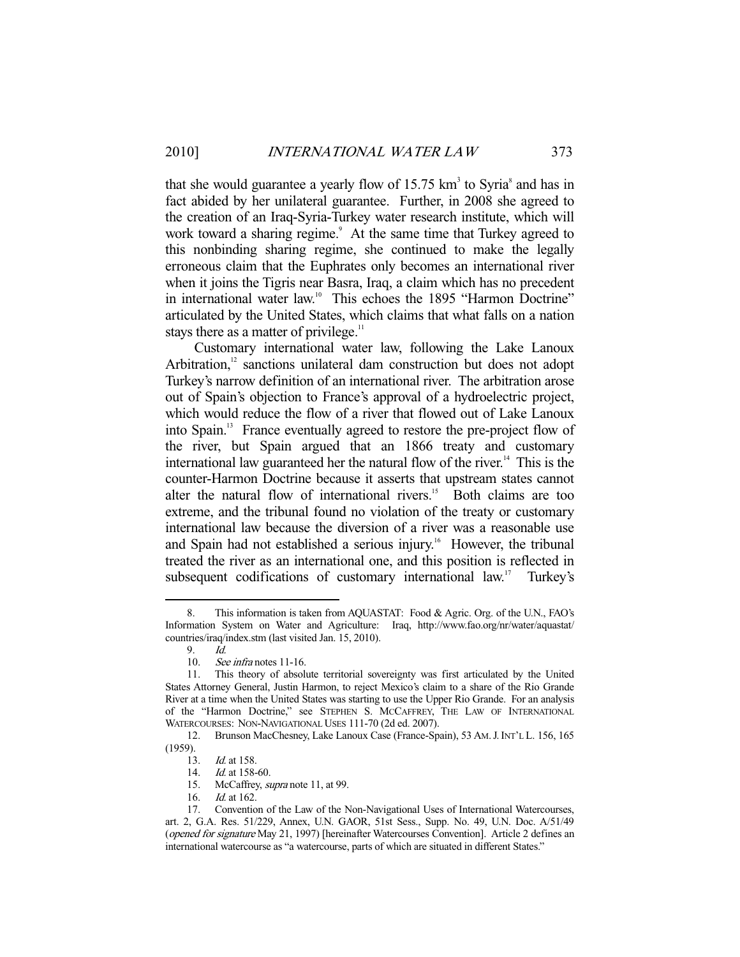that she would guarantee a yearly flow of  $15.75 \text{ km}^3$  to Syria<sup>s</sup> and has in fact abided by her unilateral guarantee. Further, in 2008 she agreed to the creation of an Iraq-Syria-Turkey water research institute, which will work toward a sharing regime.<sup>9</sup> At the same time that Turkey agreed to this nonbinding sharing regime, she continued to make the legally erroneous claim that the Euphrates only becomes an international river when it joins the Tigris near Basra, Iraq, a claim which has no precedent in international water law.<sup>10</sup> This echoes the 1895 "Harmon Doctrine" articulated by the United States, which claims that what falls on a nation stays there as a matter of privilege.<sup>11</sup>

 Customary international water law, following the Lake Lanoux Arbitration,<sup>12</sup> sanctions unilateral dam construction but does not adopt Turkey's narrow definition of an international river. The arbitration arose out of Spain's objection to France's approval of a hydroelectric project, which would reduce the flow of a river that flowed out of Lake Lanoux into Spain.13 France eventually agreed to restore the pre-project flow of the river, but Spain argued that an 1866 treaty and customary international law guaranteed her the natural flow of the river.<sup>14</sup> This is the counter-Harmon Doctrine because it asserts that upstream states cannot alter the natural flow of international rivers.<sup>15</sup> Both claims are too extreme, and the tribunal found no violation of the treaty or customary international law because the diversion of a river was a reasonable use and Spain had not established a serious injury.<sup>16</sup> However, the tribunal treated the river as an international one, and this position is reflected in subsequent codifications of customary international law.<sup>17</sup> Turkey's

 <sup>8.</sup> This information is taken from AQUASTAT: Food & Agric. Org. of the U.N., FAO's Information System on Water and Agriculture: Iraq, http://www.fao.org/nr/water/aquastat/ countries/iraq/index.stm (last visited Jan. 15, 2010).

 <sup>9.</sup> Id.

 <sup>10.</sup> See infra notes 11-16.

 <sup>11.</sup> This theory of absolute territorial sovereignty was first articulated by the United States Attorney General, Justin Harmon, to reject Mexico's claim to a share of the Rio Grande River at a time when the United States was starting to use the Upper Rio Grande. For an analysis of the "Harmon Doctrine," see STEPHEN S. MCCAFFREY, THE LAW OF INTERNATIONAL WATERCOURSES: NON-NAVIGATIONAL USES 111-70 (2d ed. 2007).

 <sup>12.</sup> Brunson MacChesney, Lake Lanoux Case (France-Spain), 53 AM.J.INT'L L. 156, 165 (1959).

<sup>13.</sup> *Id.* at 158.

<sup>14.</sup> *Id.* at 158-60.

<sup>15.</sup> McCaffrey, *supra* note 11, at 99.

 <sup>16.</sup> Id. at 162.

 <sup>17.</sup> Convention of the Law of the Non-Navigational Uses of International Watercourses, art. 2, G.A. Res. 51/229, Annex, U.N. GAOR, 51st Sess., Supp. No. 49, U.N. Doc. A/51/49 (opened for signature May 21, 1997) [hereinafter Watercourses Convention]. Article 2 defines an international watercourse as "a watercourse, parts of which are situated in different States."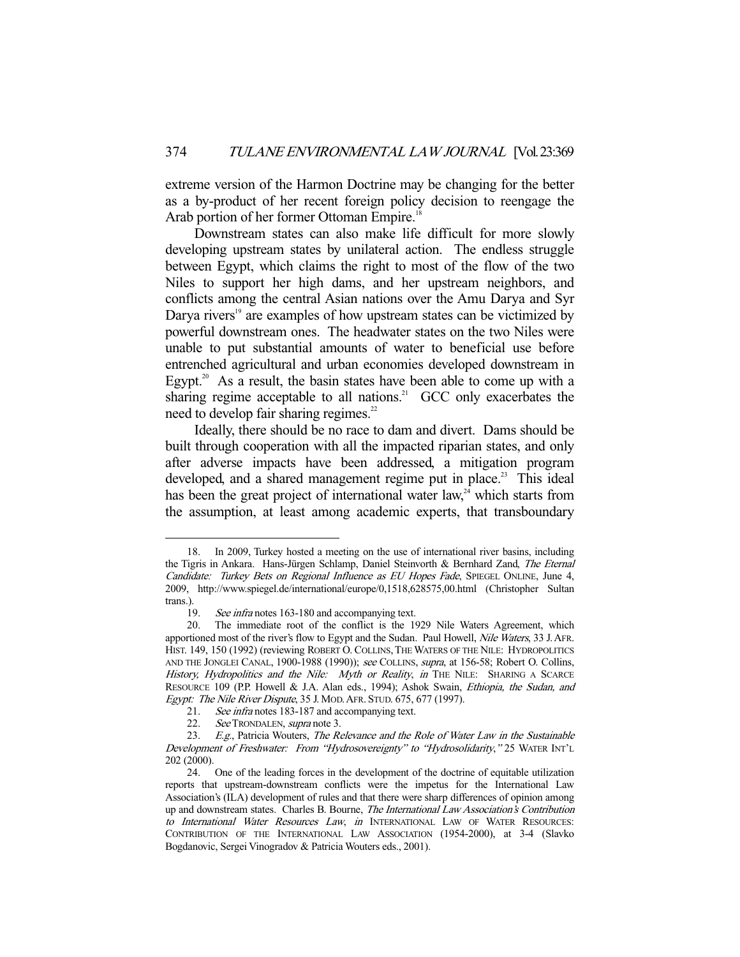extreme version of the Harmon Doctrine may be changing for the better as a by-product of her recent foreign policy decision to reengage the Arab portion of her former Ottoman Empire.<sup>18</sup>

 Downstream states can also make life difficult for more slowly developing upstream states by unilateral action. The endless struggle between Egypt, which claims the right to most of the flow of the two Niles to support her high dams, and her upstream neighbors, and conflicts among the central Asian nations over the Amu Darya and Syr Darya rivers<sup>19</sup> are examples of how upstream states can be victimized by powerful downstream ones. The headwater states on the two Niles were unable to put substantial amounts of water to beneficial use before entrenched agricultural and urban economies developed downstream in Egypt.<sup>20</sup> As a result, the basin states have been able to come up with a sharing regime acceptable to all nations.<sup>21</sup> GCC only exacerbates the need to develop fair sharing regimes.<sup>22</sup>

 Ideally, there should be no race to dam and divert. Dams should be built through cooperation with all the impacted riparian states, and only after adverse impacts have been addressed, a mitigation program developed, and a shared management regime put in place.<sup>23</sup> This ideal has been the great project of international water law, $24$  which starts from the assumption, at least among academic experts, that transboundary

 <sup>18.</sup> In 2009, Turkey hosted a meeting on the use of international river basins, including the Tigris in Ankara. Hans-Jürgen Schlamp, Daniel Steinvorth & Bernhard Zand, The Eternal Candidate: Turkey Bets on Regional Influence as EU Hopes Fade, SPIEGEL ONLINE, June 4, 2009, http://www.spiegel.de/international/europe/0,1518,628575,00.html (Christopher Sultan trans.).

 <sup>19.</sup> See infra notes 163-180 and accompanying text.

 <sup>20.</sup> The immediate root of the conflict is the 1929 Nile Waters Agreement, which apportioned most of the river's flow to Egypt and the Sudan. Paul Howell, Nile Waters, 33 J. AFR. HIST. 149, 150 (1992) (reviewing ROBERT O. COLLINS,THE WATERS OF THE NILE: HYDROPOLITICS AND THE JONGLEI CANAL, 1900-1988 (1990)); see COLLINS, supra, at 156-58; Robert O. Collins, History, Hydropolitics and the Nile: Myth or Reality, in THE NILE: SHARING A SCARCE RESOURCE 109 (P.P. Howell & J.A. Alan eds., 1994); Ashok Swain, Ethiopia, the Sudan, and Egypt: The Nile River Dispute, 35 J. MOD. AFR. STUD. 675, 677 (1997).

<sup>21.</sup> See infra notes 183-187 and accompanying text.<br>22. See TRONDALEN, *supra* note 3.

See TRONDALEN, supra note 3.

<sup>23.</sup> E.g., Patricia Wouters, The Relevance and the Role of Water Law in the Sustainable Development of Freshwater: From "Hydrosovereignty" to "Hydrosolidarity," 25 WATER INT'L 202 (2000).

 <sup>24.</sup> One of the leading forces in the development of the doctrine of equitable utilization reports that upstream-downstream conflicts were the impetus for the International Law Association's (ILA) development of rules and that there were sharp differences of opinion among up and downstream states. Charles B. Bourne, The International Law Association's Contribution to International Water Resources Law, in INTERNATIONAL LAW OF WATER RESOURCES: CONTRIBUTION OF THE INTERNATIONAL LAW ASSOCIATION (1954-2000), at 3-4 (Slavko Bogdanovic, Sergei Vinogradov & Patricia Wouters eds., 2001).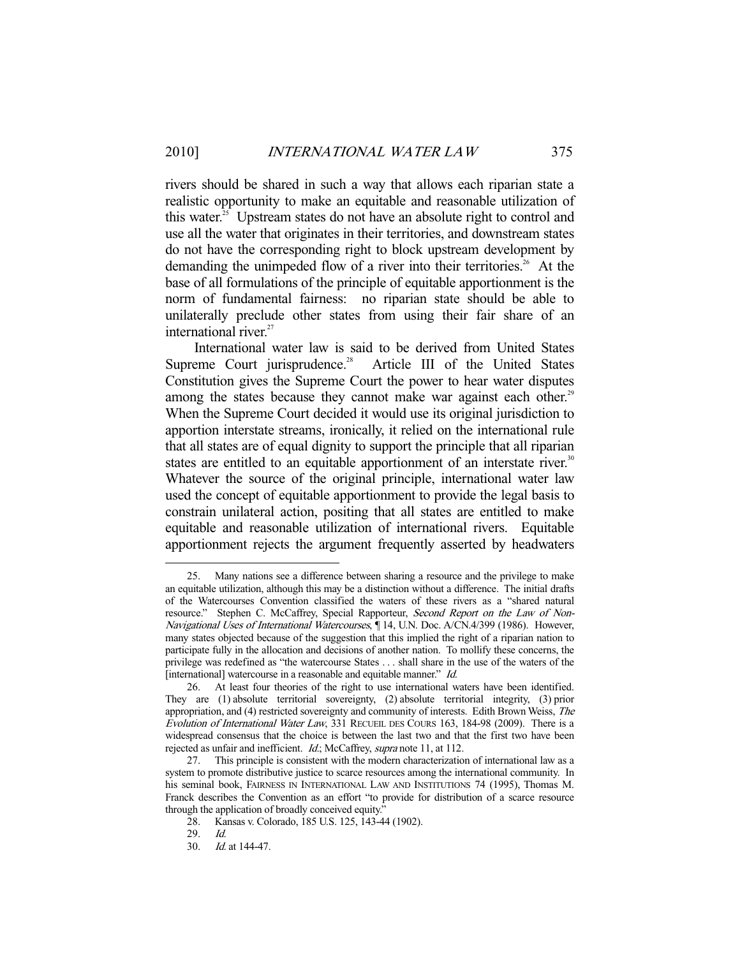rivers should be shared in such a way that allows each riparian state a realistic opportunity to make an equitable and reasonable utilization of this water. $25$  Upstream states do not have an absolute right to control and use all the water that originates in their territories, and downstream states do not have the corresponding right to block upstream development by demanding the unimpeded flow of a river into their territories.<sup>26</sup> At the base of all formulations of the principle of equitable apportionment is the norm of fundamental fairness: no riparian state should be able to unilaterally preclude other states from using their fair share of an international river.<sup>27</sup>

 International water law is said to be derived from United States Supreme Court jurisprudence.<sup>28</sup> Article III of the United States Constitution gives the Supreme Court the power to hear water disputes among the states because they cannot make war against each other.<sup>29</sup> When the Supreme Court decided it would use its original jurisdiction to apportion interstate streams, ironically, it relied on the international rule that all states are of equal dignity to support the principle that all riparian states are entitled to an equitable apportionment of an interstate river.<sup>30</sup> Whatever the source of the original principle, international water law used the concept of equitable apportionment to provide the legal basis to constrain unilateral action, positing that all states are entitled to make equitable and reasonable utilization of international rivers. Equitable apportionment rejects the argument frequently asserted by headwaters

 <sup>25.</sup> Many nations see a difference between sharing a resource and the privilege to make an equitable utilization, although this may be a distinction without a difference. The initial drafts of the Watercourses Convention classified the waters of these rivers as a "shared natural resource." Stephen C. McCaffrey, Special Rapporteur, Second Report on the Law of Non-Navigational Uses of International Watercourses, ¶ 14, U.N. Doc. A/CN.4/399 (1986). However, many states objected because of the suggestion that this implied the right of a riparian nation to participate fully in the allocation and decisions of another nation. To mollify these concerns, the privilege was redefined as "the watercourse States . . . shall share in the use of the waters of the [international] watercourse in a reasonable and equitable manner." *Id.* 

 <sup>26.</sup> At least four theories of the right to use international waters have been identified. They are (1) absolute territorial sovereignty, (2) absolute territorial integrity, (3) prior appropriation, and (4) restricted sovereignty and community of interests. Edith Brown Weiss, The Evolution of International Water Law, 331 RECUEIL DES COURS 163, 184-98 (2009). There is a widespread consensus that the choice is between the last two and that the first two have been rejected as unfair and inefficient. Id.; McCaffrey, supra note 11, at 112.

 <sup>27.</sup> This principle is consistent with the modern characterization of international law as a system to promote distributive justice to scarce resources among the international community. In his seminal book, FAIRNESS IN INTERNATIONAL LAW AND INSTITUTIONS 74 (1995), Thomas M. Franck describes the Convention as an effort "to provide for distribution of a scarce resource through the application of broadly conceived equity."

 <sup>28.</sup> Kansas v. Colorado, 185 U.S. 125, 143-44 (1902).

 <sup>29.</sup> Id.

 <sup>30.</sup> Id. at 144-47.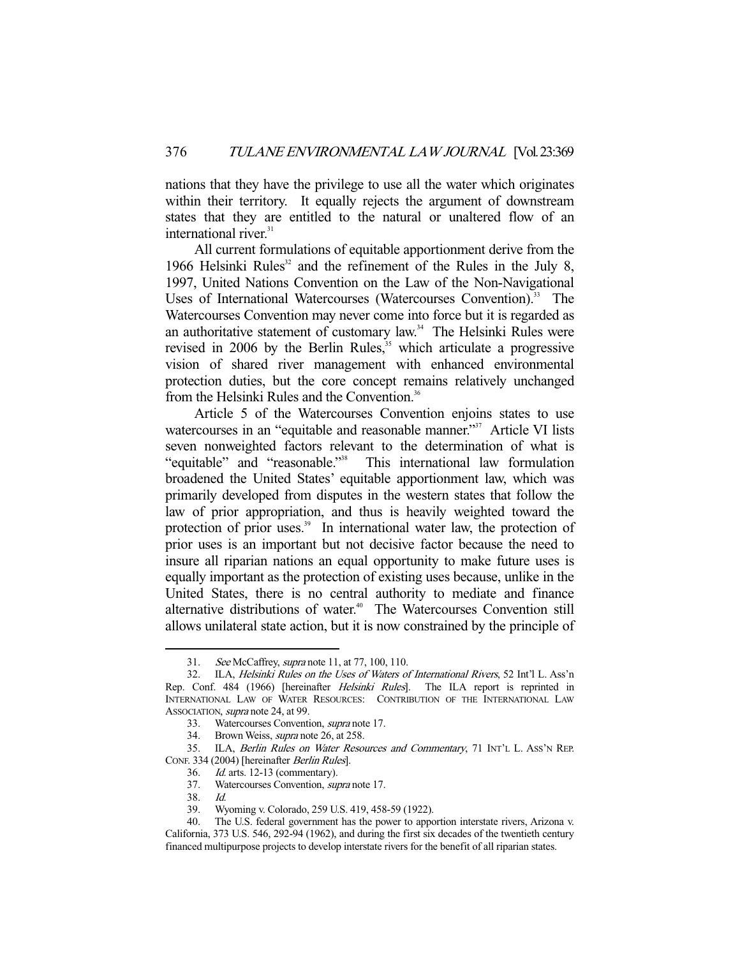nations that they have the privilege to use all the water which originates within their territory. It equally rejects the argument of downstream states that they are entitled to the natural or unaltered flow of an international river.<sup>31</sup>

 All current formulations of equitable apportionment derive from the 1966 Helsinki Rules<sup>32</sup> and the refinement of the Rules in the July 8, 1997, United Nations Convention on the Law of the Non-Navigational Uses of International Watercourses (Watercourses Convention).<sup>33</sup> The Watercourses Convention may never come into force but it is regarded as an authoritative statement of customary law.<sup>34</sup> The Helsinki Rules were revised in 2006 by the Berlin Rules,<sup>35</sup> which articulate a progressive vision of shared river management with enhanced environmental protection duties, but the core concept remains relatively unchanged from the Helsinki Rules and the Convention.<sup>36</sup>

 Article 5 of the Watercourses Convention enjoins states to use watercourses in an "equitable and reasonable manner."<sup>37</sup> Article VI lists seven nonweighted factors relevant to the determination of what is "equitable" and "reasonable."38 This international law formulation broadened the United States' equitable apportionment law, which was primarily developed from disputes in the western states that follow the law of prior appropriation, and thus is heavily weighted toward the protection of prior uses.<sup>39</sup> In international water law, the protection of prior uses is an important but not decisive factor because the need to insure all riparian nations an equal opportunity to make future uses is equally important as the protection of existing uses because, unlike in the United States, there is no central authority to mediate and finance alternative distributions of water.<sup>40</sup> The Watercourses Convention still allows unilateral state action, but it is now constrained by the principle of

<sup>31.</sup> See McCaffrey, *supra* note 11, at 77, 100, 110.

 <sup>32.</sup> ILA, Helsinki Rules on the Uses of Waters of International Rivers, 52 Int'l L. Ass'n Rep. Conf. 484 (1966) [hereinafter *Helsinki Rules*]. The ILA report is reprinted in INTERNATIONAL LAW OF WATER RESOURCES: CONTRIBUTION OF THE INTERNATIONAL LAW ASSOCIATION, *supra* note 24, at 99.

 <sup>33.</sup> Watercourses Convention, supra note 17.

 <sup>34.</sup> Brown Weiss, supra note 26, at 258.

<sup>35.</sup> ILA, Berlin Rules on Water Resources and Commentary, 71 INT'L L. ASS'N REP. CONF. 334 (2004) [hereinafter *Berlin Rules*].<br>36. Id. arts. 12-13 (commentary).

 $Id.$  arts. 12-13 (commentary).

 <sup>37.</sup> Watercourses Convention, supra note 17.

 <sup>38.</sup> Id.

 <sup>39.</sup> Wyoming v. Colorado, 259 U.S. 419, 458-59 (1922).

 <sup>40.</sup> The U.S. federal government has the power to apportion interstate rivers, Arizona v. California, 373 U.S. 546, 292-94 (1962), and during the first six decades of the twentieth century financed multipurpose projects to develop interstate rivers for the benefit of all riparian states.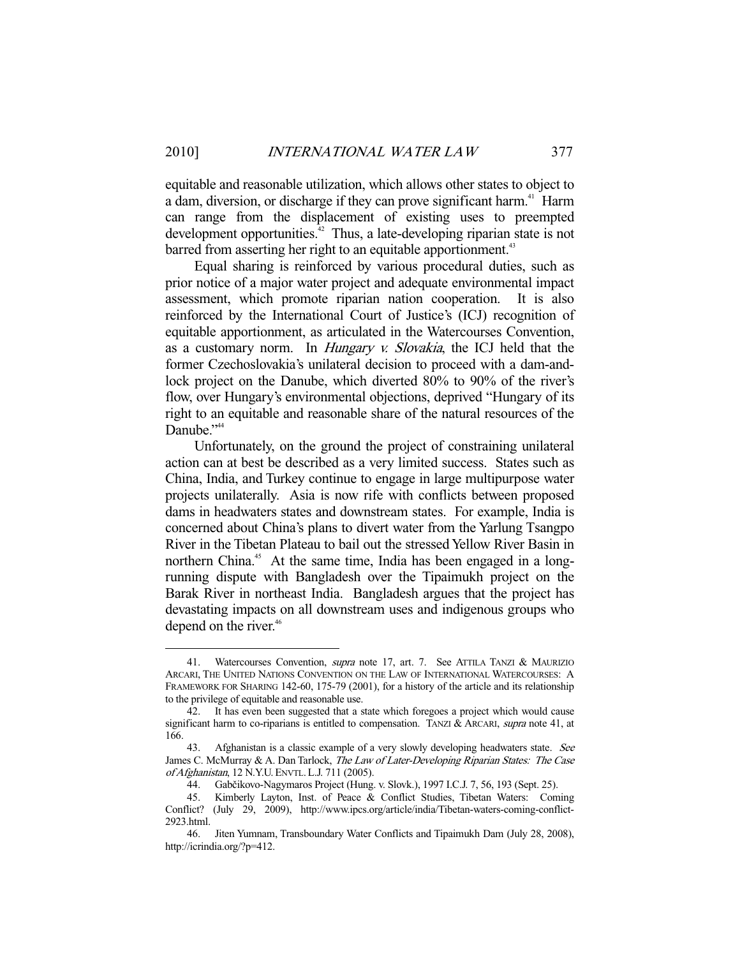equitable and reasonable utilization, which allows other states to object to a dam, diversion, or discharge if they can prove significant harm.<sup>41</sup> Harm can range from the displacement of existing uses to preempted development opportunities. $42$  Thus, a late-developing riparian state is not barred from asserting her right to an equitable apportionment.<sup>43</sup>

 Equal sharing is reinforced by various procedural duties, such as prior notice of a major water project and adequate environmental impact assessment, which promote riparian nation cooperation. It is also reinforced by the International Court of Justice's (ICJ) recognition of equitable apportionment, as articulated in the Watercourses Convention, as a customary norm. In Hungary v. Slovakia, the ICJ held that the former Czechoslovakia's unilateral decision to proceed with a dam-andlock project on the Danube, which diverted 80% to 90% of the river's flow, over Hungary's environmental objections, deprived "Hungary of its right to an equitable and reasonable share of the natural resources of the Danube."<sup>44</sup>

 Unfortunately, on the ground the project of constraining unilateral action can at best be described as a very limited success. States such as China, India, and Turkey continue to engage in large multipurpose water projects unilaterally. Asia is now rife with conflicts between proposed dams in headwaters states and downstream states. For example, India is concerned about China's plans to divert water from the Yarlung Tsangpo River in the Tibetan Plateau to bail out the stressed Yellow River Basin in northern China.<sup>45</sup> At the same time, India has been engaged in a longrunning dispute with Bangladesh over the Tipaimukh project on the Barak River in northeast India. Bangladesh argues that the project has devastating impacts on all downstream uses and indigenous groups who depend on the river.<sup>46</sup>

<sup>41.</sup> Watercourses Convention, *supra* note 17, art. 7. See ATTILA TANZI & MAURIZIO ARCARI, THE UNITED NATIONS CONVENTION ON THE LAW OF INTERNATIONAL WATERCOURSES: A FRAMEWORK FOR SHARING 142-60, 175-79 (2001), for a history of the article and its relationship to the privilege of equitable and reasonable use.

 <sup>42.</sup> It has even been suggested that a state which foregoes a project which would cause significant harm to co-riparians is entitled to compensation. TANZI & ARCARI, supra note 41, at 166.

<sup>43.</sup> Afghanistan is a classic example of a very slowly developing headwaters state. See James C. McMurray & A. Dan Tarlock, The Law of Later-Developing Riparian States: The Case of Afghanistan, 12 N.Y.U. ENVTL. L.J. 711 (2005).

 <sup>44.</sup> Gabčikovo-Nagymaros Project (Hung. v. Slovk.), 1997 I.C.J. 7, 56, 193 (Sept. 25).

 <sup>45.</sup> Kimberly Layton, Inst. of Peace & Conflict Studies, Tibetan Waters: Coming Conflict? (July 29, 2009), http://www.ipcs.org/article/india/Tibetan-waters-coming-conflict-2923.html.

 <sup>46.</sup> Jiten Yumnam, Transboundary Water Conflicts and Tipaimukh Dam (July 28, 2008), http://icrindia.org/?p=412.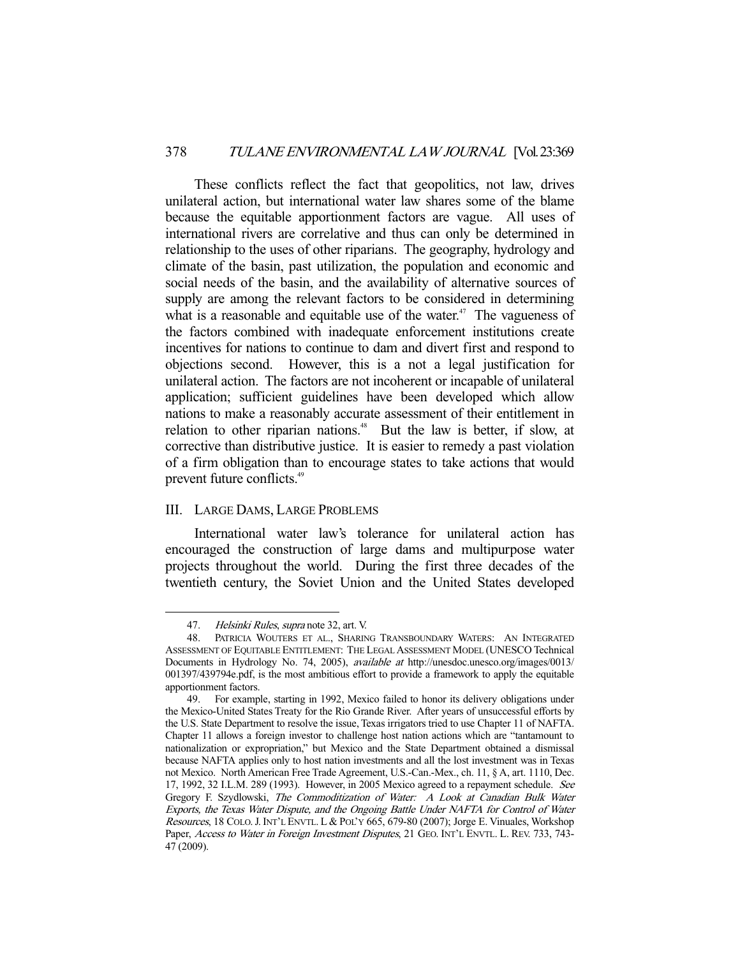These conflicts reflect the fact that geopolitics, not law, drives unilateral action, but international water law shares some of the blame because the equitable apportionment factors are vague. All uses of international rivers are correlative and thus can only be determined in relationship to the uses of other riparians. The geography, hydrology and climate of the basin, past utilization, the population and economic and social needs of the basin, and the availability of alternative sources of supply are among the relevant factors to be considered in determining what is a reasonable and equitable use of the water.<sup>47</sup> The vagueness of the factors combined with inadequate enforcement institutions create incentives for nations to continue to dam and divert first and respond to objections second. However, this is a not a legal justification for unilateral action. The factors are not incoherent or incapable of unilateral application; sufficient guidelines have been developed which allow nations to make a reasonably accurate assessment of their entitlement in relation to other riparian nations.<sup>48</sup> But the law is better, if slow, at corrective than distributive justice. It is easier to remedy a past violation of a firm obligation than to encourage states to take actions that would prevent future conflicts.49

#### III. LARGE DAMS, LARGE PROBLEMS

 International water law's tolerance for unilateral action has encouraged the construction of large dams and multipurpose water projects throughout the world. During the first three decades of the twentieth century, the Soviet Union and the United States developed

<sup>47.</sup> Helsinki Rules, supra note 32, art. V.

 <sup>48.</sup> PATRICIA WOUTERS ET AL., SHARING TRANSBOUNDARY WATERS: AN INTEGRATED ASSESSMENT OF EQUITABLE ENTITLEMENT: THE LEGAL ASSESSMENT MODEL (UNESCO Technical Documents in Hydrology No. 74, 2005), available at http://unesdoc.unesco.org/images/0013/ 001397/439794e.pdf, is the most ambitious effort to provide a framework to apply the equitable apportionment factors.

 <sup>49.</sup> For example, starting in 1992, Mexico failed to honor its delivery obligations under the Mexico-United States Treaty for the Rio Grande River. After years of unsuccessful efforts by the U.S. State Department to resolve the issue, Texas irrigators tried to use Chapter 11 of NAFTA. Chapter 11 allows a foreign investor to challenge host nation actions which are "tantamount to nationalization or expropriation," but Mexico and the State Department obtained a dismissal because NAFTA applies only to host nation investments and all the lost investment was in Texas not Mexico. North American Free Trade Agreement, U.S.-Can.-Mex., ch. 11, § A, art. 1110, Dec. 17, 1992, 32 I.L.M. 289 (1993). However, in 2005 Mexico agreed to a repayment schedule. See Gregory F. Szydlowski, The Commoditization of Water: A Look at Canadian Bulk Water Exports, the Texas Water Dispute, and the Ongoing Battle Under NAFTA for Control of Water Resources, 18 COLO.J. INT'L ENVTL. L & POL'Y 665, 679-80 (2007); Jorge E. Vinuales, Workshop Paper, Access to Water in Foreign Investment Disputes, 21 GEO. INT'L ENVTL. L. REV. 733, 743-47 (2009).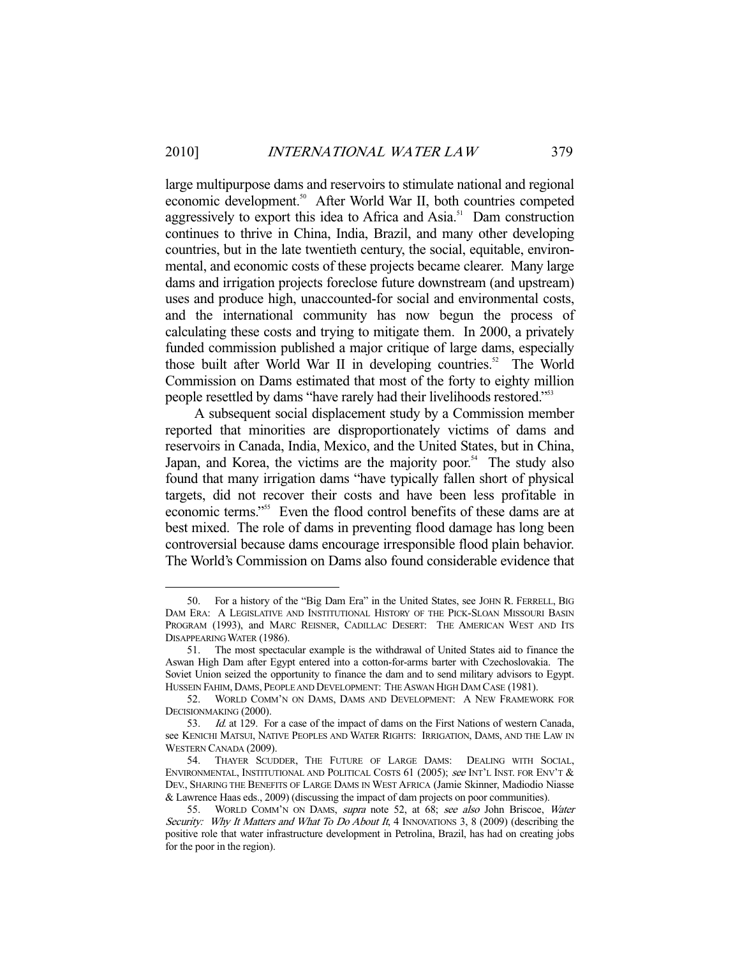large multipurpose dams and reservoirs to stimulate national and regional economic development.<sup>50</sup> After World War II, both countries competed aggressively to export this idea to Africa and Asia.<sup>51</sup> Dam construction continues to thrive in China, India, Brazil, and many other developing countries, but in the late twentieth century, the social, equitable, environmental, and economic costs of these projects became clearer. Many large dams and irrigation projects foreclose future downstream (and upstream) uses and produce high, unaccounted-for social and environmental costs, and the international community has now begun the process of calculating these costs and trying to mitigate them. In 2000, a privately funded commission published a major critique of large dams, especially those built after World War II in developing countries.<sup>52</sup> The World Commission on Dams estimated that most of the forty to eighty million people resettled by dams "have rarely had their livelihoods restored."53

 A subsequent social displacement study by a Commission member reported that minorities are disproportionately victims of dams and reservoirs in Canada, India, Mexico, and the United States, but in China, Japan, and Korea, the victims are the majority poor.<sup>54</sup> The study also found that many irrigation dams "have typically fallen short of physical targets, did not recover their costs and have been less profitable in economic terms."55 Even the flood control benefits of these dams are at best mixed. The role of dams in preventing flood damage has long been controversial because dams encourage irresponsible flood plain behavior. The World's Commission on Dams also found considerable evidence that

 <sup>50.</sup> For a history of the "Big Dam Era" in the United States, see JOHN R. FERRELL, BIG DAM ERA: A LEGISLATIVE AND INSTITUTIONAL HISTORY OF THE PICK-SLOAN MISSOURI BASIN PROGRAM (1993), and MARC REISNER, CADILLAC DESERT: THE AMERICAN WEST AND ITS DISAPPEARING WATER (1986).

 <sup>51.</sup> The most spectacular example is the withdrawal of United States aid to finance the Aswan High Dam after Egypt entered into a cotton-for-arms barter with Czechoslovakia. The Soviet Union seized the opportunity to finance the dam and to send military advisors to Egypt. HUSSEIN FAHIM, DAMS, PEOPLE AND DEVELOPMENT: THE ASWAN HIGH DAM CASE (1981).

 <sup>52.</sup> WORLD COMM'N ON DAMS, DAMS AND DEVELOPMENT: A NEW FRAMEWORK FOR DECISIONMAKING (2000).

 <sup>53.</sup> Id. at 129. For a case of the impact of dams on the First Nations of western Canada, see KENICHI MATSUI, NATIVE PEOPLES AND WATER RIGHTS: IRRIGATION, DAMS, AND THE LAW IN WESTERN CANADA (2009).

 <sup>54.</sup> THAYER SCUDDER, THE FUTURE OF LARGE DAMS: DEALING WITH SOCIAL, ENVIRONMENTAL, INSTITUTIONAL AND POLITICAL COSTS 61 (2005); see INT'L INST. FOR ENV'T & DEV., SHARING THE BENEFITS OF LARGE DAMS IN WEST AFRICA (Jamie Skinner, Madiodio Niasse & Lawrence Haas eds., 2009) (discussing the impact of dam projects on poor communities).

<sup>55.</sup> WORLD COMM'N ON DAMS, supra note 52, at 68; see also John Briscoe, Water Security: Why It Matters and What To Do About It, 4 INNOVATIONS 3, 8 (2009) (describing the positive role that water infrastructure development in Petrolina, Brazil, has had on creating jobs for the poor in the region).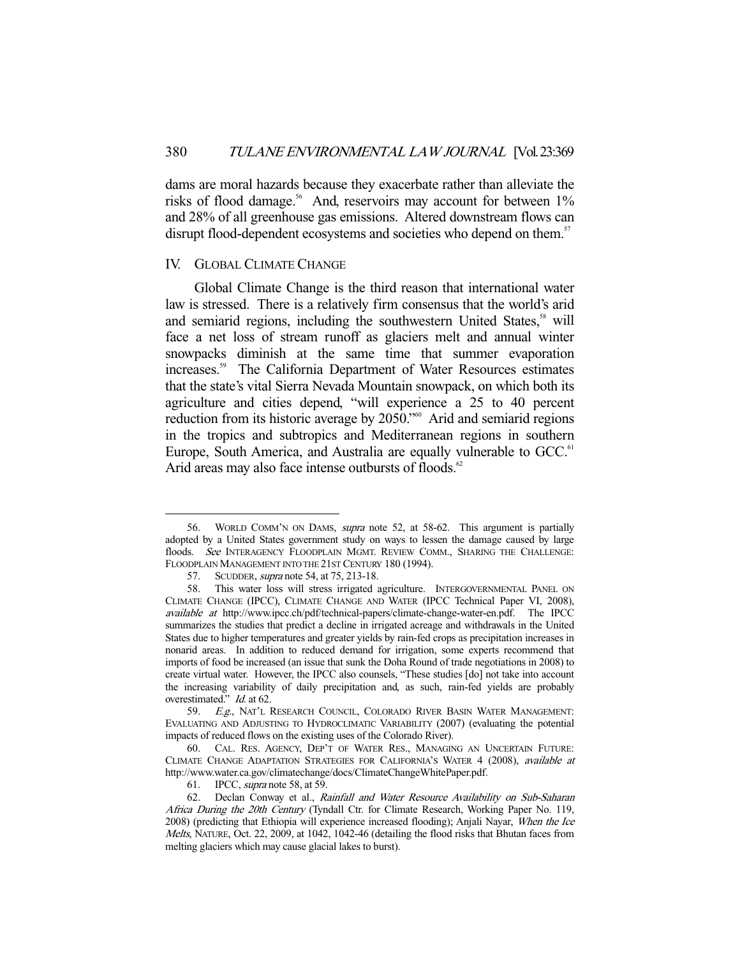dams are moral hazards because they exacerbate rather than alleviate the risks of flood damage.<sup>56</sup> And, reservoirs may account for between 1% and 28% of all greenhouse gas emissions. Altered downstream flows can disrupt flood-dependent ecosystems and societies who depend on them.<sup>57</sup>

#### IV. GLOBAL CLIMATE CHANGE

 Global Climate Change is the third reason that international water law is stressed. There is a relatively firm consensus that the world's arid and semiarid regions, including the southwestern United States,<sup>58</sup> will face a net loss of stream runoff as glaciers melt and annual winter snowpacks diminish at the same time that summer evaporation increases.59 The California Department of Water Resources estimates that the state's vital Sierra Nevada Mountain snowpack, on which both its agriculture and cities depend, "will experience a 25 to 40 percent reduction from its historic average by 2050."<sup>60</sup> Arid and semiarid regions in the tropics and subtropics and Mediterranean regions in southern Europe, South America, and Australia are equally vulnerable to GCC.<sup>61</sup> Arid areas may also face intense outbursts of floods.<sup>62</sup>

 <sup>56.</sup> WORLD COMM'N ON DAMS, supra note 52, at 58-62. This argument is partially adopted by a United States government study on ways to lessen the damage caused by large floods. See INTERAGENCY FLOODPLAIN MGMT. REVIEW COMM., SHARING THE CHALLENGE: FLOODPLAIN MANAGEMENT INTO THE 21ST CENTURY 180 (1994).

<sup>57.</sup> SCUDDER, *supra* note 54, at 75, 213-18.

 <sup>58.</sup> This water loss will stress irrigated agriculture. INTERGOVERNMENTAL PANEL ON CLIMATE CHANGE (IPCC), CLIMATE CHANGE AND WATER (IPCC Technical Paper VI, 2008), available at http://www.ipcc.ch/pdf/technical-papers/climate-change-water-en.pdf. The IPCC summarizes the studies that predict a decline in irrigated acreage and withdrawals in the United States due to higher temperatures and greater yields by rain-fed crops as precipitation increases in nonarid areas. In addition to reduced demand for irrigation, some experts recommend that imports of food be increased (an issue that sunk the Doha Round of trade negotiations in 2008) to create virtual water. However, the IPCC also counsels, "These studies [do] not take into account the increasing variability of daily precipitation and, as such, rain-fed yields are probably overestimated." Id. at 62.

<sup>59.</sup> E.g., NAT'L RESEARCH COUNCIL, COLORADO RIVER BASIN WATER MANAGEMENT: EVALUATING AND ADJUSTING TO HYDROCLIMATIC VARIABILITY (2007) (evaluating the potential impacts of reduced flows on the existing uses of the Colorado River).

 <sup>60.</sup> CAL. RES. AGENCY, DEP'T OF WATER RES., MANAGING AN UNCERTAIN FUTURE: CLIMATE CHANGE ADAPTATION STRATEGIES FOR CALIFORNIA'S WATER 4 (2008), available at http://www.water.ca.gov/climatechange/docs/ClimateChangeWhitePaper.pdf.

<sup>61.</sup> IPCC, *supra* note 58, at 59.

<sup>62.</sup> Declan Conway et al., Rainfall and Water Resource Availability on Sub-Saharan Africa During the 20th Century (Tyndall Ctr. for Climate Research, Working Paper No. 119, 2008) (predicting that Ethiopia will experience increased flooding); Anjali Nayar, When the Ice Melts, NATURE, Oct. 22, 2009, at 1042, 1042-46 (detailing the flood risks that Bhutan faces from melting glaciers which may cause glacial lakes to burst).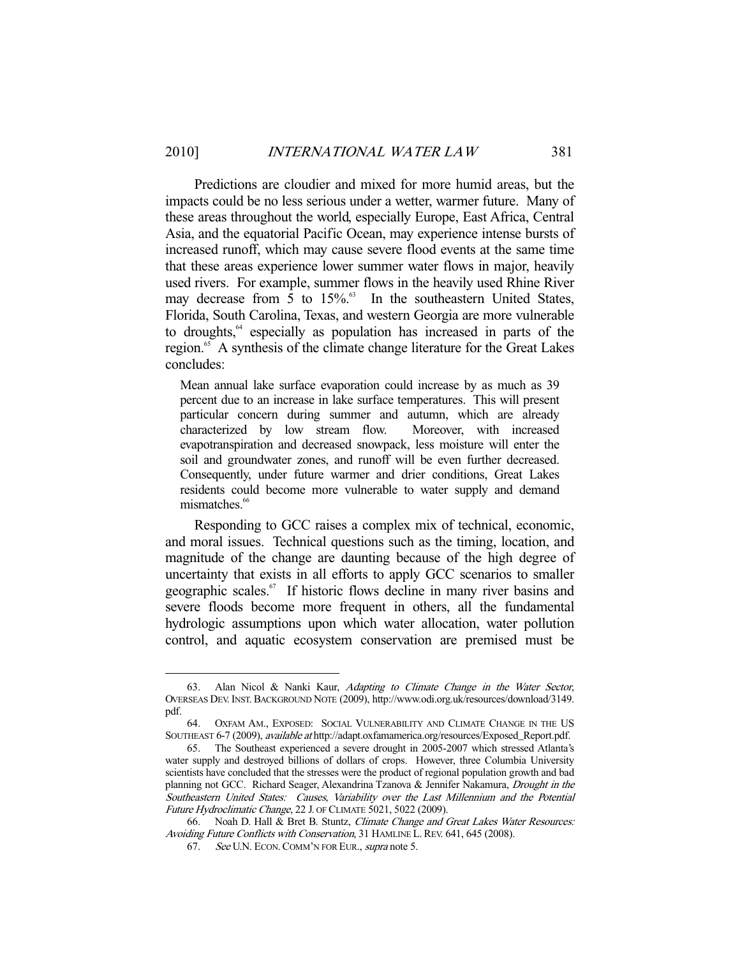Predictions are cloudier and mixed for more humid areas, but the impacts could be no less serious under a wetter, warmer future. Many of these areas throughout the world, especially Europe, East Africa, Central Asia, and the equatorial Pacific Ocean, may experience intense bursts of increased runoff, which may cause severe flood events at the same time that these areas experience lower summer water flows in major, heavily used rivers. For example, summer flows in the heavily used Rhine River may decrease from  $\overline{5}$  to  $15\%$ .<sup>63</sup> In the southeastern United States, Florida, South Carolina, Texas, and western Georgia are more vulnerable to droughts,<sup>64</sup> especially as population has increased in parts of the region.<sup>65</sup> A synthesis of the climate change literature for the Great Lakes concludes:

Mean annual lake surface evaporation could increase by as much as 39 percent due to an increase in lake surface temperatures. This will present particular concern during summer and autumn, which are already characterized by low stream flow. Moreover, with increased evapotranspiration and decreased snowpack, less moisture will enter the soil and groundwater zones, and runoff will be even further decreased. Consequently, under future warmer and drier conditions, Great Lakes residents could become more vulnerable to water supply and demand mismatches.<sup>66</sup>

 Responding to GCC raises a complex mix of technical, economic, and moral issues. Technical questions such as the timing, location, and magnitude of the change are daunting because of the high degree of uncertainty that exists in all efforts to apply GCC scenarios to smaller geographic scales.<sup>67</sup> If historic flows decline in many river basins and severe floods become more frequent in others, all the fundamental hydrologic assumptions upon which water allocation, water pollution control, and aquatic ecosystem conservation are premised must be

 <sup>63.</sup> Alan Nicol & Nanki Kaur, Adapting to Climate Change in the Water Sector, OVERSEAS DEV. INST. BACKGROUND NOTE (2009), http://www.odi.org.uk/resources/download/3149. pdf.

 <sup>64.</sup> OXFAM AM., EXPOSED: SOCIAL VULNERABILITY AND CLIMATE CHANGE IN THE US SOUTHEAST 6-7 (2009), available at http://adapt.oxfamamerica.org/resources/Exposed\_Report.pdf.

 <sup>65.</sup> The Southeast experienced a severe drought in 2005-2007 which stressed Atlanta's water supply and destroyed billions of dollars of crops. However, three Columbia University scientists have concluded that the stresses were the product of regional population growth and bad planning not GCC. Richard Seager, Alexandrina Tzanova & Jennifer Nakamura, Drought in the Southeastern United States: Causes, Variability over the Last Millennium and the Potential Future Hydroclimatic Change, 22 J. OF CLIMATE 5021, 5022 (2009).

 <sup>66.</sup> Noah D. Hall & Bret B. Stuntz, Climate Change and Great Lakes Water Resources: Avoiding Future Conflicts with Conservation, 31 HAMLINE L. REV. 641, 645 (2008).

<sup>67.</sup> See U.N. ECON. COMM'N FOR EUR., supra note 5.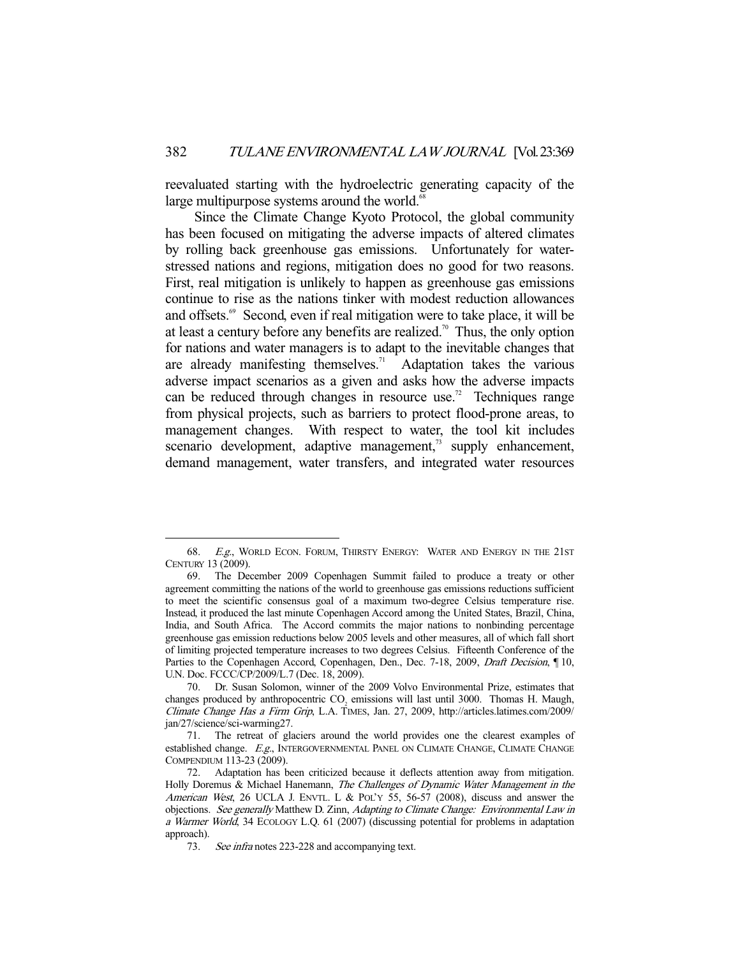reevaluated starting with the hydroelectric generating capacity of the large multipurpose systems around the world.<sup>6</sup>

 Since the Climate Change Kyoto Protocol, the global community has been focused on mitigating the adverse impacts of altered climates by rolling back greenhouse gas emissions. Unfortunately for waterstressed nations and regions, mitigation does no good for two reasons. First, real mitigation is unlikely to happen as greenhouse gas emissions continue to rise as the nations tinker with modest reduction allowances and offsets.<sup>69</sup> Second, even if real mitigation were to take place, it will be at least a century before any benefits are realized.<sup>70</sup> Thus, the only option for nations and water managers is to adapt to the inevitable changes that are already manifesting themselves.<sup>71</sup> Adaptation takes the various adverse impact scenarios as a given and asks how the adverse impacts can be reduced through changes in resource use.<sup>72</sup> Techniques range from physical projects, such as barriers to protect flood-prone areas, to management changes. With respect to water, the tool kit includes scenario development, adaptive management, $\frac{73}{12}$  supply enhancement, demand management, water transfers, and integrated water resources

<sup>68.</sup> E.g., WORLD ECON. FORUM, THIRSTY ENERGY: WATER AND ENERGY IN THE 21ST CENTURY 13 (2009).

 <sup>69.</sup> The December 2009 Copenhagen Summit failed to produce a treaty or other agreement committing the nations of the world to greenhouse gas emissions reductions sufficient to meet the scientific consensus goal of a maximum two-degree Celsius temperature rise. Instead, it produced the last minute Copenhagen Accord among the United States, Brazil, China, India, and South Africa. The Accord commits the major nations to nonbinding percentage greenhouse gas emission reductions below 2005 levels and other measures, all of which fall short of limiting projected temperature increases to two degrees Celsius. Fifteenth Conference of the Parties to the Copenhagen Accord, Copenhagen, Den., Dec. 7-18, 2009, *Draft Decision*, ¶ 10, U.N. Doc. FCCC/CP/2009/L.7 (Dec. 18, 2009).

 <sup>70.</sup> Dr. Susan Solomon, winner of the 2009 Volvo Environmental Prize, estimates that changes produced by anthropocentric  $CO<sub>2</sub>$  emissions will last until 3000. Thomas H. Maugh, Climate Change Has a Firm Grip, L.A. TIMES, Jan. 27, 2009, http://articles.latimes.com/2009/ jan/27/science/sci-warming27.

 <sup>71.</sup> The retreat of glaciers around the world provides one the clearest examples of established change. E.g., INTERGOVERNMENTAL PANEL ON CLIMATE CHANGE, CLIMATE CHANGE COMPENDIUM 113-23 (2009).

 <sup>72.</sup> Adaptation has been criticized because it deflects attention away from mitigation. Holly Doremus & Michael Hanemann, The Challenges of Dynamic Water Management in the American West, 26 UCLA J. ENVTL. L & POL'Y 55, 56-57 (2008), discuss and answer the objections. See generally Matthew D. Zinn, Adapting to Climate Change: Environmental Law in a Warmer World, 34 ECOLOGY L.Q. 61 (2007) (discussing potential for problems in adaptation approach).

<sup>73.</sup> See infra notes 223-228 and accompanying text.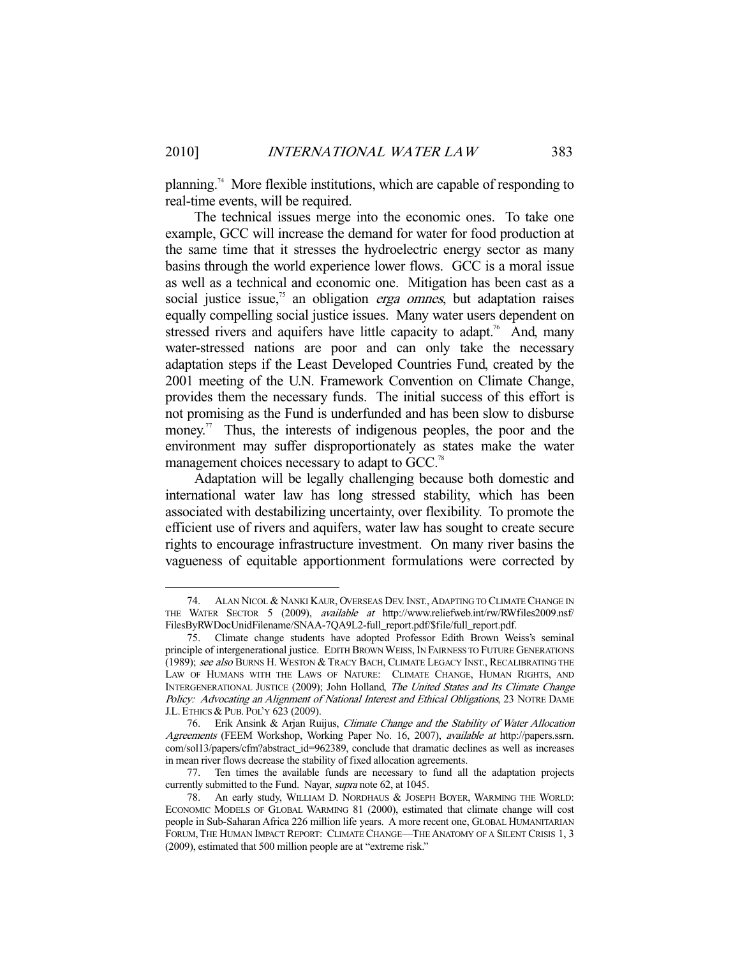planning.<sup>74</sup> More flexible institutions, which are capable of responding to real-time events, will be required.

 The technical issues merge into the economic ones. To take one example, GCC will increase the demand for water for food production at the same time that it stresses the hydroelectric energy sector as many basins through the world experience lower flows. GCC is a moral issue as well as a technical and economic one. Mitigation has been cast as a social justice issue, $75$  an obligation *erga omnes*, but adaptation raises equally compelling social justice issues. Many water users dependent on stressed rivers and aquifers have little capacity to adapt.<sup>76</sup> And, many water-stressed nations are poor and can only take the necessary adaptation steps if the Least Developed Countries Fund, created by the 2001 meeting of the U.N. Framework Convention on Climate Change, provides them the necessary funds. The initial success of this effort is not promising as the Fund is underfunded and has been slow to disburse money.<sup>77</sup> Thus, the interests of indigenous peoples, the poor and the environment may suffer disproportionately as states make the water management choices necessary to adapt to GCC.<sup>78</sup>

 Adaptation will be legally challenging because both domestic and international water law has long stressed stability, which has been associated with destabilizing uncertainty, over flexibility. To promote the efficient use of rivers and aquifers, water law has sought to create secure rights to encourage infrastructure investment. On many river basins the vagueness of equitable apportionment formulations were corrected by

 <sup>74.</sup> ALAN NICOL & NANKI KAUR, OVERSEAS DEV. INST.,ADAPTING TO CLIMATE CHANGE IN THE WATER SECTOR 5 (2009), available at http://www.reliefweb.int/rw/RWfiles2009.nsf/ FilesByRWDocUnidFilename/SNAA-7QA9L2-full\_report.pdf/\$file/full\_report.pdf.

 <sup>75.</sup> Climate change students have adopted Professor Edith Brown Weiss's seminal principle of intergenerational justice. EDITH BROWN WEISS, IN FAIRNESS TO FUTURE GENERATIONS (1989); see also BURNS H. WESTON & TRACY BACH, CLIMATE LEGACY INST., RECALIBRATING THE LAW OF HUMANS WITH THE LAWS OF NATURE: CLIMATE CHANGE, HUMAN RIGHTS, AND INTERGENERATIONAL JUSTICE (2009); John Holland, The United States and Its Climate Change Policy: Advocating an Alignment of National Interest and Ethical Obligations, 23 NOTRE DAME J.L. ETHICS & PUB. POL'Y 623 (2009).

<sup>76.</sup> Erik Ansink & Arjan Ruijus, Climate Change and the Stability of Water Allocation Agreements (FEEM Workshop, Working Paper No. 16, 2007), available at http://papers.ssrn. com/sol13/papers/cfm?abstract\_id=962389, conclude that dramatic declines as well as increases in mean river flows decrease the stability of fixed allocation agreements.

 <sup>77.</sup> Ten times the available funds are necessary to fund all the adaptation projects currently submitted to the Fund. Nayar, supra note 62, at 1045.

 <sup>78.</sup> An early study, WILLIAM D. NORDHAUS & JOSEPH BOYER, WARMING THE WORLD: ECONOMIC MODELS OF GLOBAL WARMING 81 (2000), estimated that climate change will cost people in Sub-Saharan Africa 226 million life years. A more recent one, GLOBAL HUMANITARIAN FORUM, THE HUMAN IMPACT REPORT: CLIMATE CHANGE—THE ANATOMY OF A SILENT CRISIS 1, 3 (2009), estimated that 500 million people are at "extreme risk."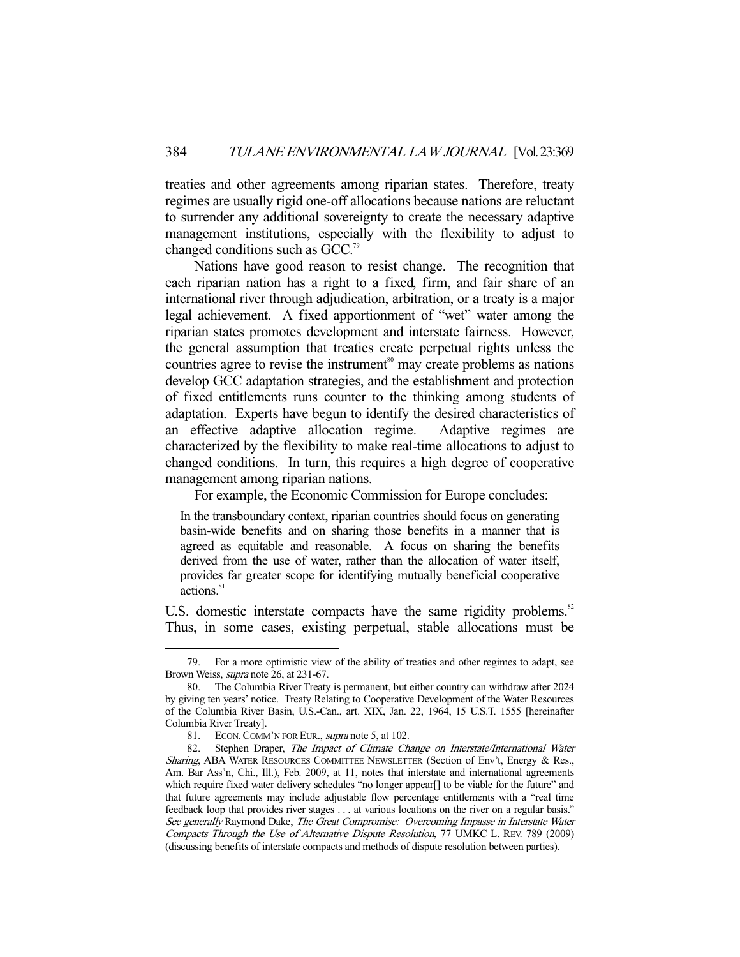treaties and other agreements among riparian states. Therefore, treaty regimes are usually rigid one-off allocations because nations are reluctant to surrender any additional sovereignty to create the necessary adaptive management institutions, especially with the flexibility to adjust to changed conditions such as GCC.79

 Nations have good reason to resist change. The recognition that each riparian nation has a right to a fixed, firm, and fair share of an international river through adjudication, arbitration, or a treaty is a major legal achievement. A fixed apportionment of "wet" water among the riparian states promotes development and interstate fairness. However, the general assumption that treaties create perpetual rights unless the countries agree to revise the instrument<sup>80</sup> may create problems as nations develop GCC adaptation strategies, and the establishment and protection of fixed entitlements runs counter to the thinking among students of adaptation. Experts have begun to identify the desired characteristics of an effective adaptive allocation regime. Adaptive regimes are characterized by the flexibility to make real-time allocations to adjust to changed conditions. In turn, this requires a high degree of cooperative management among riparian nations.

For example, the Economic Commission for Europe concludes:

In the transboundary context, riparian countries should focus on generating basin-wide benefits and on sharing those benefits in a manner that is agreed as equitable and reasonable. A focus on sharing the benefits derived from the use of water, rather than the allocation of water itself, provides far greater scope for identifying mutually beneficial cooperative actions.<sup>81</sup>

U.S. domestic interstate compacts have the same rigidity problems.<sup>82</sup> Thus, in some cases, existing perpetual, stable allocations must be

 <sup>79.</sup> For a more optimistic view of the ability of treaties and other regimes to adapt, see Brown Weiss, supra note 26, at 231-67.

 <sup>80.</sup> The Columbia River Treaty is permanent, but either country can withdraw after 2024 by giving ten years' notice. Treaty Relating to Cooperative Development of the Water Resources of the Columbia River Basin, U.S.-Can., art. XIX, Jan. 22, 1964, 15 U.S.T. 1555 [hereinafter Columbia River Treaty].

 <sup>81.</sup> ECON.COMM'N FOR EUR., supra note 5, at 102.

<sup>82.</sup> Stephen Draper, The Impact of Climate Change on Interstate/International Water Sharing, ABA WATER RESOURCES COMMITTEE NEWSLETTER (Section of Env't, Energy & Res., Am. Bar Ass'n, Chi., Ill.), Feb. 2009, at 11, notes that interstate and international agreements which require fixed water delivery schedules "no longer appear[] to be viable for the future" and that future agreements may include adjustable flow percentage entitlements with a "real time feedback loop that provides river stages . . . at various locations on the river on a regular basis." See generally Raymond Dake, The Great Compromise: Overcoming Impasse in Interstate Water Compacts Through the Use of Alternative Dispute Resolution, 77 UMKC L. REV. 789 (2009) (discussing benefits of interstate compacts and methods of dispute resolution between parties).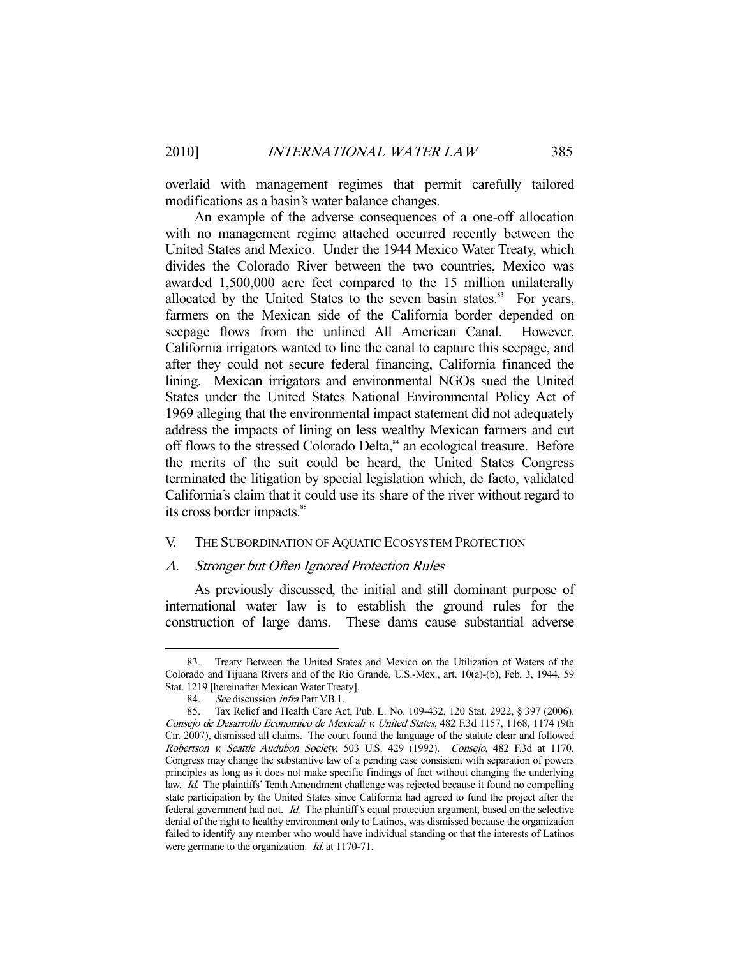overlaid with management regimes that permit carefully tailored modifications as a basin's water balance changes.

 An example of the adverse consequences of a one-off allocation with no management regime attached occurred recently between the United States and Mexico. Under the 1944 Mexico Water Treaty, which divides the Colorado River between the two countries, Mexico was awarded 1,500,000 acre feet compared to the 15 million unilaterally allocated by the United States to the seven basin states. $83$  For years, farmers on the Mexican side of the California border depended on seepage flows from the unlined All American Canal. However, California irrigators wanted to line the canal to capture this seepage, and after they could not secure federal financing, California financed the lining. Mexican irrigators and environmental NGOs sued the United States under the United States National Environmental Policy Act of 1969 alleging that the environmental impact statement did not adequately address the impacts of lining on less wealthy Mexican farmers and cut off flows to the stressed Colorado Delta,<sup>84</sup> an ecological treasure. Before the merits of the suit could be heard, the United States Congress terminated the litigation by special legislation which, de facto, validated California's claim that it could use its share of the river without regard to its cross border impacts.<sup>85</sup>

#### V. THE SUBORDINATION OF AQUATIC ECOSYSTEM PROTECTION

#### A. Stronger but Often Ignored Protection Rules

 As previously discussed, the initial and still dominant purpose of international water law is to establish the ground rules for the construction of large dams. These dams cause substantial adverse

 <sup>83.</sup> Treaty Between the United States and Mexico on the Utilization of Waters of the Colorado and Tijuana Rivers and of the Rio Grande, U.S.-Mex., art. 10(a)-(b), Feb. 3, 1944, 59 Stat. 1219 [hereinafter Mexican Water Treaty].

<sup>84.</sup> See discussion *infra* Part V.B.1.

 <sup>85.</sup> Tax Relief and Health Care Act, Pub. L. No. 109-432, 120 Stat. 2922, § 397 (2006). Consejo de Desarrollo Economico de Mexicali v. United States, 482 F.3d 1157, 1168, 1174 (9th Cir. 2007), dismissed all claims. The court found the language of the statute clear and followed Robertson v. Seattle Audubon Society, 503 U.S. 429 (1992). Consejo, 482 F.3d at 1170. Congress may change the substantive law of a pending case consistent with separation of powers principles as long as it does not make specific findings of fact without changing the underlying law. Id. The plaintiffs' Tenth Amendment challenge was rejected because it found no compelling state participation by the United States since California had agreed to fund the project after the federal government had not. Id. The plaintiff's equal protection argument, based on the selective denial of the right to healthy environment only to Latinos, was dismissed because the organization failed to identify any member who would have individual standing or that the interests of Latinos were germane to the organization. *Id.* at 1170-71.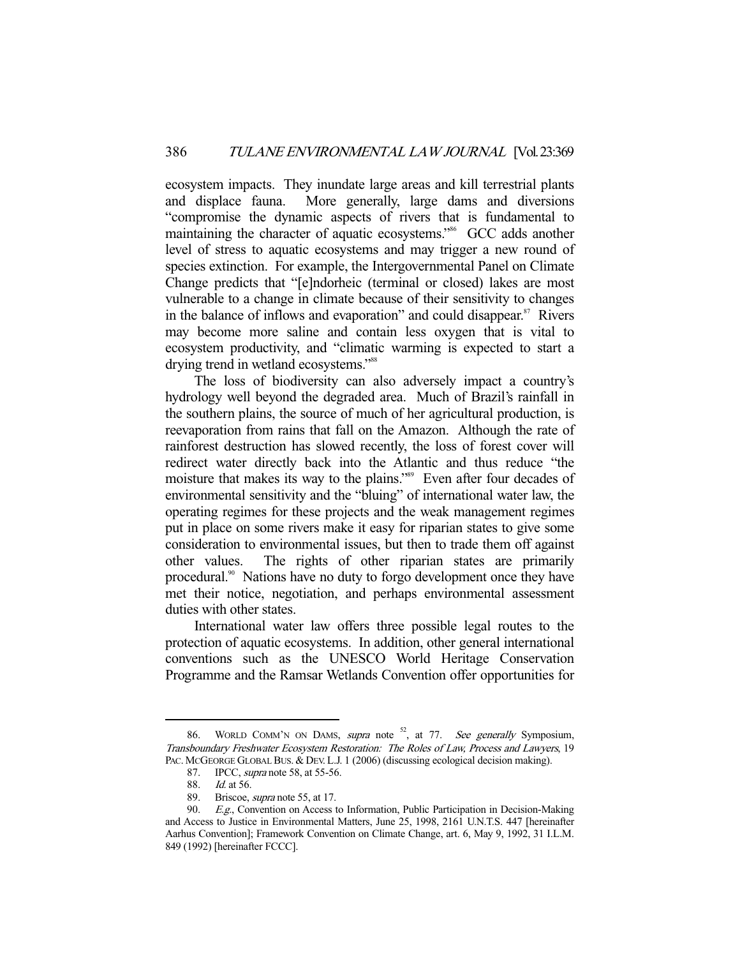ecosystem impacts. They inundate large areas and kill terrestrial plants and displace fauna. More generally, large dams and diversions "compromise the dynamic aspects of rivers that is fundamental to maintaining the character of aquatic ecosystems."<sup>86</sup> GCC adds another level of stress to aquatic ecosystems and may trigger a new round of species extinction. For example, the Intergovernmental Panel on Climate Change predicts that "[e]ndorheic (terminal or closed) lakes are most vulnerable to a change in climate because of their sensitivity to changes in the balance of inflows and evaporation" and could disappear.<sup>87</sup> Rivers may become more saline and contain less oxygen that is vital to ecosystem productivity, and "climatic warming is expected to start a drying trend in wetland ecosystems."<sup>88</sup>

 The loss of biodiversity can also adversely impact a country's hydrology well beyond the degraded area. Much of Brazil's rainfall in the southern plains, the source of much of her agricultural production, is reevaporation from rains that fall on the Amazon. Although the rate of rainforest destruction has slowed recently, the loss of forest cover will redirect water directly back into the Atlantic and thus reduce "the moisture that makes its way to the plains."<sup>89</sup> Even after four decades of environmental sensitivity and the "bluing" of international water law, the operating regimes for these projects and the weak management regimes put in place on some rivers make it easy for riparian states to give some consideration to environmental issues, but then to trade them off against other values. The rights of other riparian states are primarily procedural.<sup>90</sup> Nations have no duty to forgo development once they have met their notice, negotiation, and perhaps environmental assessment duties with other states.

 International water law offers three possible legal routes to the protection of aquatic ecosystems. In addition, other general international conventions such as the UNESCO World Heritage Conservation Programme and the Ramsar Wetlands Convention offer opportunities for

<sup>86.</sup> WORLD COMM'N ON DAMS, supra note <sup>52</sup>, at 77. See generally Symposium, Transboundary Freshwater Ecosystem Restoration: The Roles of Law, Process and Lawyers, 19 PAC. MCGEORGE GLOBAL BUS. & DEV. L.J. 1 (2006) (discussing ecological decision making).

<sup>87.</sup> IPCC, *supra* note 58, at 55-56.

<sup>88.</sup> *Id.* at 56.

<sup>89.</sup> Briscoe, *supra* note 55, at 17.

<sup>90.</sup> E.g., Convention on Access to Information, Public Participation in Decision-Making and Access to Justice in Environmental Matters, June 25, 1998, 2161 U.N.T.S. 447 [hereinafter Aarhus Convention]; Framework Convention on Climate Change, art. 6, May 9, 1992, 31 I.L.M. 849 (1992) [hereinafter FCCC].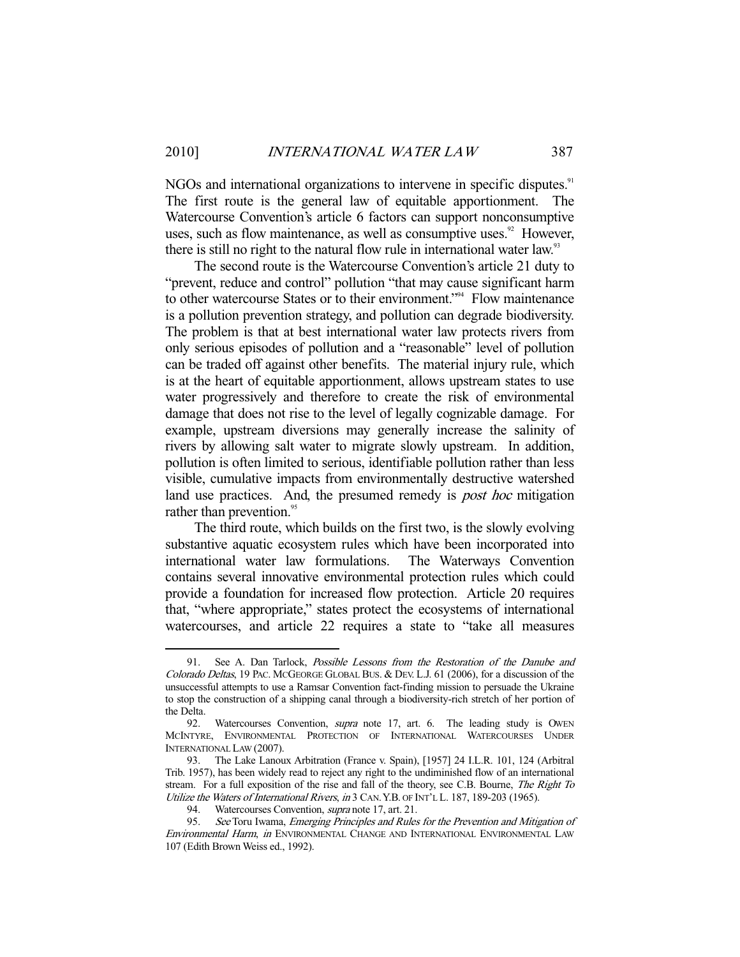NGOs and international organizations to intervene in specific disputes.<sup>91</sup> The first route is the general law of equitable apportionment. The Watercourse Convention's article 6 factors can support nonconsumptive uses, such as flow maintenance, as well as consumptive uses. $92$  However, there is still no right to the natural flow rule in international water law.<sup>33</sup>

 The second route is the Watercourse Convention's article 21 duty to "prevent, reduce and control" pollution "that may cause significant harm to other watercourse States or to their environment."94 Flow maintenance is a pollution prevention strategy, and pollution can degrade biodiversity. The problem is that at best international water law protects rivers from only serious episodes of pollution and a "reasonable" level of pollution can be traded off against other benefits. The material injury rule, which is at the heart of equitable apportionment, allows upstream states to use water progressively and therefore to create the risk of environmental damage that does not rise to the level of legally cognizable damage. For example, upstream diversions may generally increase the salinity of rivers by allowing salt water to migrate slowly upstream. In addition, pollution is often limited to serious, identifiable pollution rather than less visible, cumulative impacts from environmentally destructive watershed land use practices. And, the presumed remedy is *post hoc* mitigation rather than prevention.<sup>95</sup>

 The third route, which builds on the first two, is the slowly evolving substantive aquatic ecosystem rules which have been incorporated into international water law formulations. The Waterways Convention contains several innovative environmental protection rules which could provide a foundation for increased flow protection. Article 20 requires that, "where appropriate," states protect the ecosystems of international watercourses, and article 22 requires a state to "take all measures

See A. Dan Tarlock, *Possible Lessons from the Restoration of the Danube and* Colorado Deltas, 19 PAC. MCGEORGE GLOBAL BUS. & DEV. L.J. 61 (2006), for a discussion of the unsuccessful attempts to use a Ramsar Convention fact-finding mission to persuade the Ukraine to stop the construction of a shipping canal through a biodiversity-rich stretch of her portion of the Delta.

<sup>92.</sup> Watercourses Convention, *supra* note 17, art. 6. The leading study is OWEN MCINTYRE, ENVIRONMENTAL PROTECTION OF INTERNATIONAL WATERCOURSES UNDER INTERNATIONAL LAW (2007).

 <sup>93.</sup> The Lake Lanoux Arbitration (France v. Spain), [1957] 24 I.L.R. 101, 124 (Arbitral Trib. 1957), has been widely read to reject any right to the undiminished flow of an international stream. For a full exposition of the rise and fall of the theory, see C.B. Bourne, The Right To Utilize the Waters of International Rivers, in 3 CAN.Y.B. OF INT'L L. 187, 189-203 (1965).

<sup>94.</sup> Watercourses Convention, *supra* note 17, art. 21.

<sup>95.</sup> See Toru Iwama, Emerging Principles and Rules for the Prevention and Mitigation of Environmental Harm, in ENVIRONMENTAL CHANGE AND INTERNATIONAL ENVIRONMENTAL LAW 107 (Edith Brown Weiss ed., 1992).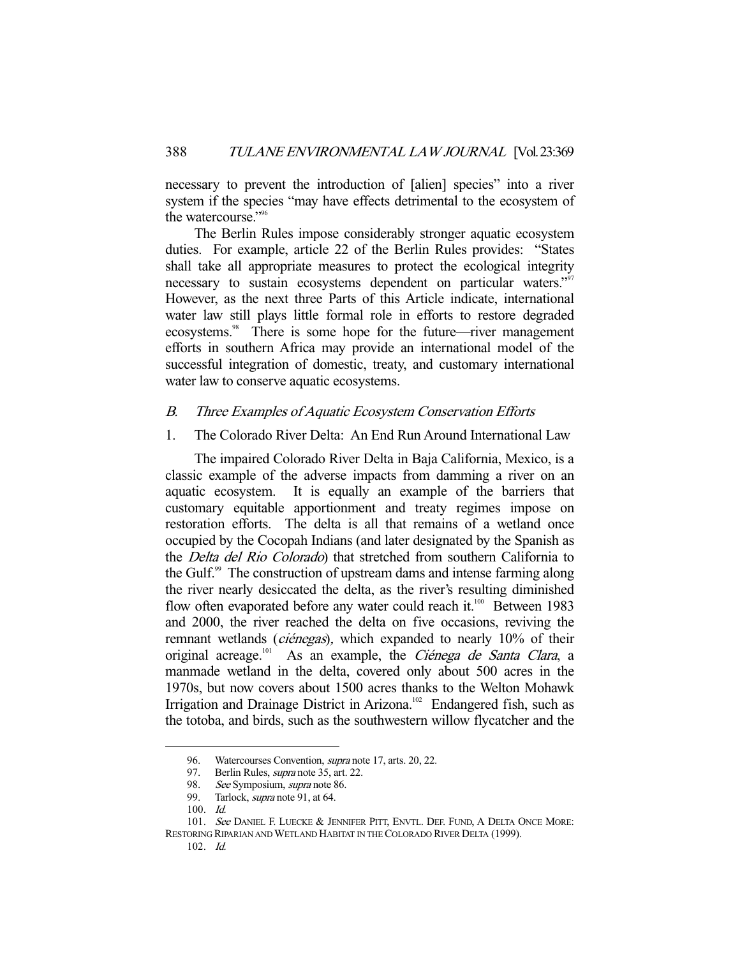necessary to prevent the introduction of [alien] species" into a river system if the species "may have effects detrimental to the ecosystem of the watercourse."<sup>96</sup>

 The Berlin Rules impose considerably stronger aquatic ecosystem duties. For example, article 22 of the Berlin Rules provides: "States shall take all appropriate measures to protect the ecological integrity necessary to sustain ecosystems dependent on particular waters."<sup>97</sup> However, as the next three Parts of this Article indicate, international water law still plays little formal role in efforts to restore degraded ecosystems.<sup>98</sup> There is some hope for the future—river management efforts in southern Africa may provide an international model of the successful integration of domestic, treaty, and customary international water law to conserve aquatic ecosystems.

### B. Three Examples of Aquatic Ecosystem Conservation Efforts

#### 1. The Colorado River Delta: An End Run Around International Law

 The impaired Colorado River Delta in Baja California, Mexico, is a classic example of the adverse impacts from damming a river on an aquatic ecosystem. It is equally an example of the barriers that customary equitable apportionment and treaty regimes impose on restoration efforts. The delta is all that remains of a wetland once occupied by the Cocopah Indians (and later designated by the Spanish as the Delta del Rio Colorado) that stretched from southern California to the Gulf.<sup>99</sup> The construction of upstream dams and intense farming along the river nearly desiccated the delta, as the river's resulting diminished flow often evaporated before any water could reach it.<sup>100</sup> Between 1983 and 2000, the river reached the delta on five occasions, reviving the remnant wetlands *(ciénegas)*, which expanded to nearly 10% of their original acreage.<sup>101</sup> As an example, the *Ciénega de Santa Clara*, a manmade wetland in the delta, covered only about 500 acres in the 1970s, but now covers about 1500 acres thanks to the Welton Mohawk Irrigation and Drainage District in Arizona.<sup>102</sup> Endangered fish, such as the totoba, and birds, such as the southwestern willow flycatcher and the

<sup>96.</sup> Watercourses Convention, *supra* note 17, arts. 20, 22.

<sup>97.</sup> Berlin Rules, *supra* note 35, art. 22.<br>98. See Symposium, *supra* note 86.

See Symposium, supra note 86.

<sup>99.</sup> Tarlock, *supra* note 91, at 64.

<sup>100.</sup>  $\overrightarrow{Id}$ .

<sup>101.</sup> See DANIEL F. LUECKE & JENNIFER PITT, ENVTL. DEF. FUND, A DELTA ONCE MORE: RESTORING RIPARIAN AND WETLAND HABITAT IN THE COLORADO RIVER DELTA (1999).

 <sup>102.</sup> Id.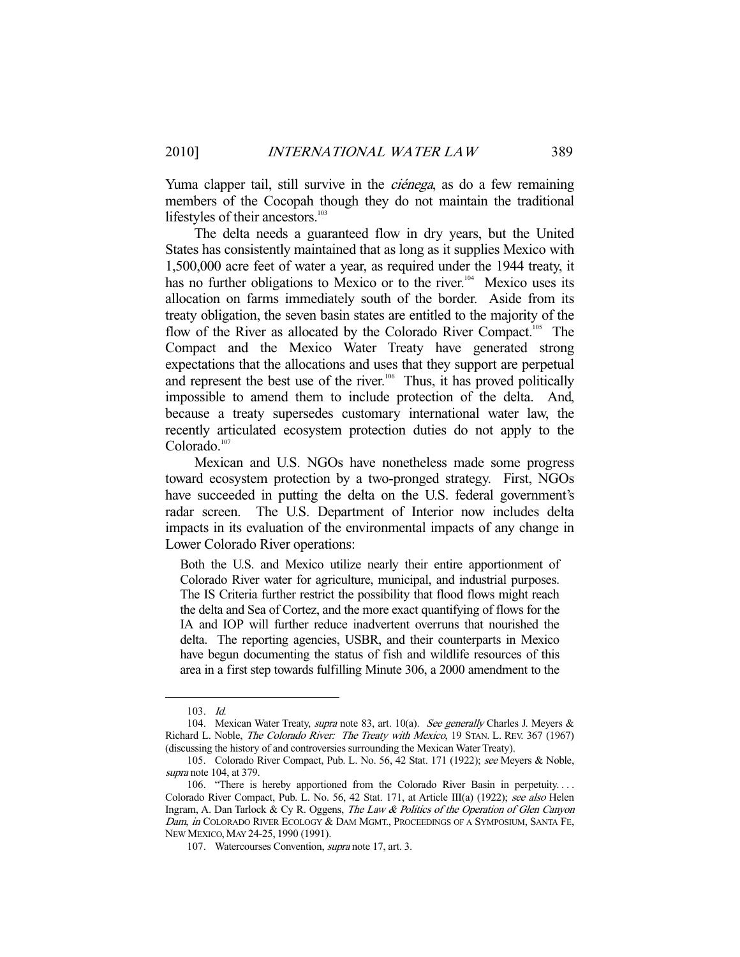Yuma clapper tail, still survive in the *ciénega*, as do a few remaining members of the Cocopah though they do not maintain the traditional lifestyles of their ancestors.<sup>103</sup>

 The delta needs a guaranteed flow in dry years, but the United States has consistently maintained that as long as it supplies Mexico with 1,500,000 acre feet of water a year, as required under the 1944 treaty, it has no further obligations to Mexico or to the river.<sup>104</sup> Mexico uses its allocation on farms immediately south of the border. Aside from its treaty obligation, the seven basin states are entitled to the majority of the flow of the River as allocated by the Colorado River Compact.<sup>105</sup> The Compact and the Mexico Water Treaty have generated strong expectations that the allocations and uses that they support are perpetual and represent the best use of the river.<sup>106</sup> Thus, it has proved politically impossible to amend them to include protection of the delta. And, because a treaty supersedes customary international water law, the recently articulated ecosystem protection duties do not apply to the Colorado.<sup>107</sup>

 Mexican and U.S. NGOs have nonetheless made some progress toward ecosystem protection by a two-pronged strategy. First, NGOs have succeeded in putting the delta on the U.S. federal government's radar screen. The U.S. Department of Interior now includes delta impacts in its evaluation of the environmental impacts of any change in Lower Colorado River operations:

Both the U.S. and Mexico utilize nearly their entire apportionment of Colorado River water for agriculture, municipal, and industrial purposes. The IS Criteria further restrict the possibility that flood flows might reach the delta and Sea of Cortez, and the more exact quantifying of flows for the IA and IOP will further reduce inadvertent overruns that nourished the delta. The reporting agencies, USBR, and their counterparts in Mexico have begun documenting the status of fish and wildlife resources of this area in a first step towards fulfilling Minute 306, a 2000 amendment to the

 <sup>103.</sup> Id.

<sup>104.</sup> Mexican Water Treaty, *supra* note 83, art. 10(a). See generally Charles J. Meyers & Richard L. Noble, The Colorado River: The Treaty with Mexico, 19 STAN. L. REV. 367 (1967) (discussing the history of and controversies surrounding the Mexican Water Treaty).

 <sup>105.</sup> Colorado River Compact, Pub. L. No. 56, 42 Stat. 171 (1922); see Meyers & Noble, supra note 104, at 379.

 <sup>106. &</sup>quot;There is hereby apportioned from the Colorado River Basin in perpetuity. . . . Colorado River Compact, Pub. L. No. 56, 42 Stat. 171, at Article III(a) (1922); see also Helen Ingram, A. Dan Tarlock & Cy R. Oggens, The Law & Politics of the Operation of Glen Canyon Dam, in COLORADO RIVER ECOLOGY & DAM MGMT., PROCEEDINGS OF A SYMPOSIUM, SANTA FE, NEW MEXICO, MAY 24-25, 1990 (1991).

 <sup>107.</sup> Watercourses Convention, supra note 17, art. 3.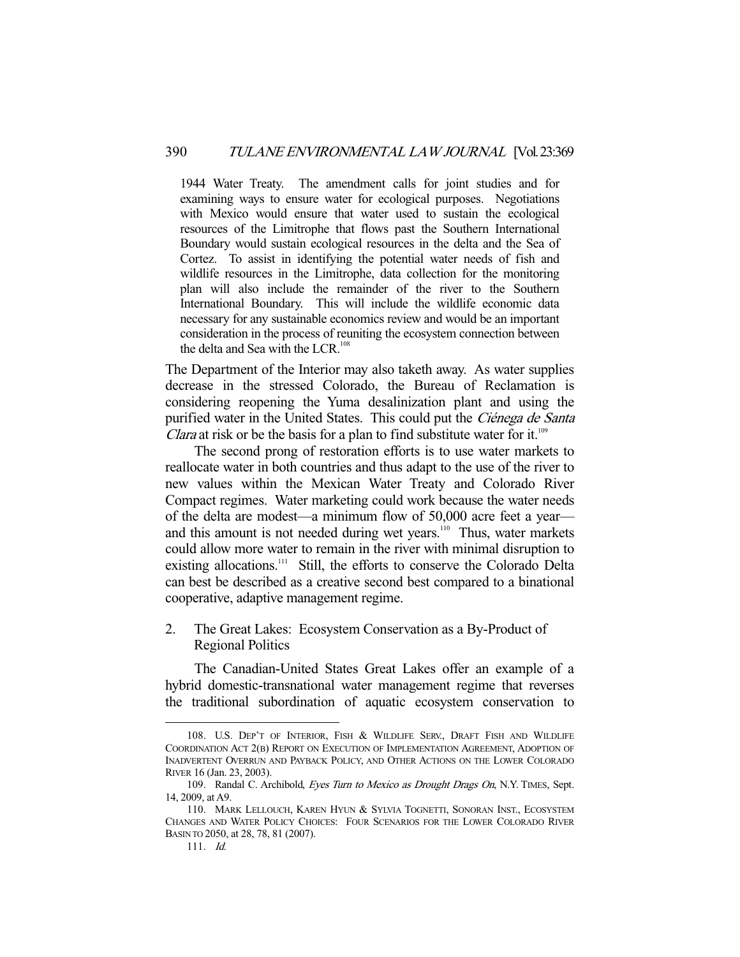1944 Water Treaty. The amendment calls for joint studies and for examining ways to ensure water for ecological purposes. Negotiations with Mexico would ensure that water used to sustain the ecological resources of the Limitrophe that flows past the Southern International Boundary would sustain ecological resources in the delta and the Sea of Cortez. To assist in identifying the potential water needs of fish and wildlife resources in the Limitrophe, data collection for the monitoring plan will also include the remainder of the river to the Southern International Boundary. This will include the wildlife economic data necessary for any sustainable economics review and would be an important consideration in the process of reuniting the ecosystem connection between the delta and Sea with the LCR.<sup>108</sup>

The Department of the Interior may also taketh away. As water supplies decrease in the stressed Colorado, the Bureau of Reclamation is considering reopening the Yuma desalinization plant and using the purified water in the United States. This could put the Ciénega de Santa *Clara* at risk or be the basis for a plan to find substitute water for it.<sup>109</sup>

 The second prong of restoration efforts is to use water markets to reallocate water in both countries and thus adapt to the use of the river to new values within the Mexican Water Treaty and Colorado River Compact regimes. Water marketing could work because the water needs of the delta are modest—a minimum flow of 50,000 acre feet a year and this amount is not needed during wet years.<sup>110</sup> Thus, water markets could allow more water to remain in the river with minimal disruption to existing allocations.<sup>111</sup> Still, the efforts to conserve the Colorado Delta can best be described as a creative second best compared to a binational cooperative, adaptive management regime.

2. The Great Lakes: Ecosystem Conservation as a By-Product of Regional Politics

 The Canadian-United States Great Lakes offer an example of a hybrid domestic-transnational water management regime that reverses the traditional subordination of aquatic ecosystem conservation to

 <sup>108.</sup> U.S. DEP'T OF INTERIOR, FISH & WILDLIFE SERV., DRAFT FISH AND WILDLIFE COORDINATION ACT 2(B) REPORT ON EXECUTION OF IMPLEMENTATION AGREEMENT, ADOPTION OF INADVERTENT OVERRUN AND PAYBACK POLICY, AND OTHER ACTIONS ON THE LOWER COLORADO RIVER 16 (Jan. 23, 2003).

<sup>109.</sup> Randal C. Archibold, Eyes Turn to Mexico as Drought Drags On, N.Y. TIMES, Sept. 14, 2009, at A9.

 <sup>110.</sup> MARK LELLOUCH, KAREN HYUN & SYLVIA TOGNETTI, SONORAN INST., ECOSYSTEM CHANGES AND WATER POLICY CHOICES: FOUR SCENARIOS FOR THE LOWER COLORADO RIVER BASIN TO 2050, at 28, 78, 81 (2007).

 <sup>111.</sup> Id.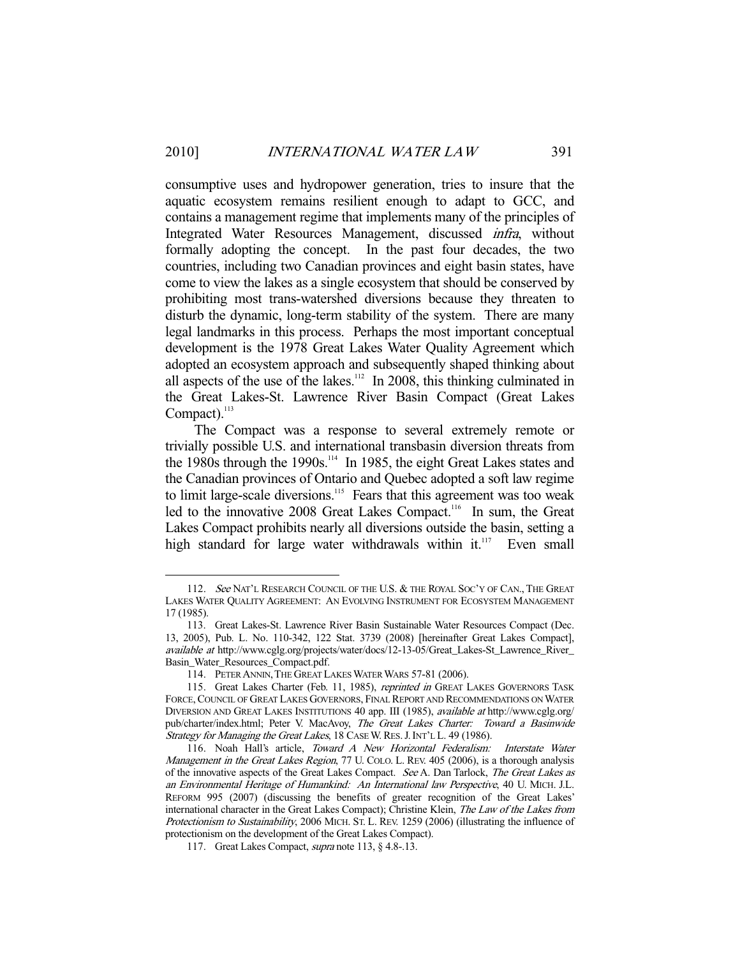consumptive uses and hydropower generation, tries to insure that the aquatic ecosystem remains resilient enough to adapt to GCC, and contains a management regime that implements many of the principles of Integrated Water Resources Management, discussed infra, without formally adopting the concept. In the past four decades, the two countries, including two Canadian provinces and eight basin states, have come to view the lakes as a single ecosystem that should be conserved by prohibiting most trans-watershed diversions because they threaten to disturb the dynamic, long-term stability of the system. There are many legal landmarks in this process. Perhaps the most important conceptual development is the 1978 Great Lakes Water Quality Agreement which adopted an ecosystem approach and subsequently shaped thinking about all aspects of the use of the lakes.<sup>112</sup> In 2008, this thinking culminated in the Great Lakes-St. Lawrence River Basin Compact (Great Lakes Compact). $^{113}$ 

 The Compact was a response to several extremely remote or trivially possible U.S. and international transbasin diversion threats from the 1980s through the 1990s.<sup>114</sup> In 1985, the eight Great Lakes states and the Canadian provinces of Ontario and Quebec adopted a soft law regime to limit large-scale diversions.<sup>115</sup> Fears that this agreement was too weak led to the innovative 2008 Great Lakes Compact.<sup>116</sup> In sum, the Great Lakes Compact prohibits nearly all diversions outside the basin, setting a high standard for large water withdrawals within it.<sup>117</sup> Even small

<sup>112.</sup> See NAT'L RESEARCH COUNCIL OF THE U.S. & THE ROYAL SOC'Y OF CAN., THE GREAT LAKES WATER QUALITY AGREEMENT: AN EVOLVING INSTRUMENT FOR ECOSYSTEM MANAGEMENT 17 (1985).

 <sup>113.</sup> Great Lakes-St. Lawrence River Basin Sustainable Water Resources Compact (Dec. 13, 2005), Pub. L. No. 110-342, 122 Stat. 3739 (2008) [hereinafter Great Lakes Compact], available at http://www.cglg.org/projects/water/docs/12-13-05/Great\_Lakes-St\_Lawrence\_River\_ Basin\_Water\_Resources\_Compact.pdf.

 <sup>114.</sup> PETER ANNIN,THE GREAT LAKES WATER WARS 57-81 (2006).

<sup>115.</sup> Great Lakes Charter (Feb. 11, 1985), reprinted in GREAT LAKES GOVERNORS TASK FORCE, COUNCIL OF GREAT LAKES GOVERNORS, FINAL REPORT AND RECOMMENDATIONS ON WATER DIVERSION AND GREAT LAKES INSTITUTIONS 40 app. III (1985), available at http://www.cglg.org/ pub/charter/index.html; Peter V. MacAvoy, The Great Lakes Charter: Toward a Basinwide Strategy for Managing the Great Lakes, 18 CASE W. RES. J. INT'L L. 49 (1986).

 <sup>116.</sup> Noah Hall's article, Toward A New Horizontal Federalism: Interstate Water Management in the Great Lakes Region, 77 U. COLO. L. REV. 405 (2006), is a thorough analysis of the innovative aspects of the Great Lakes Compact. See A. Dan Tarlock, The Great Lakes as an Environmental Heritage of Humankind: An International law Perspective, 40 U. MICH. J.L. REFORM 995 (2007) (discussing the benefits of greater recognition of the Great Lakes' international character in the Great Lakes Compact); Christine Klein, The Law of the Lakes from Protectionism to Sustainability, 2006 MICH. ST. L. REV. 1259 (2006) (illustrating the influence of protectionism on the development of the Great Lakes Compact).

<sup>117.</sup> Great Lakes Compact, *supra* note 113, § 4.8-.13.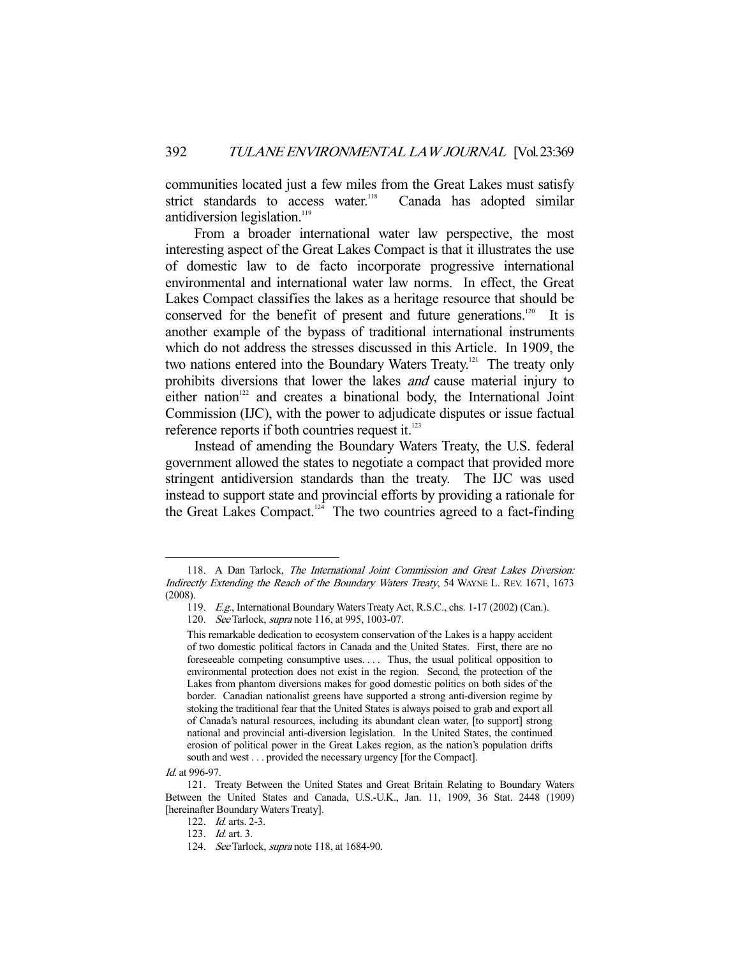communities located just a few miles from the Great Lakes must satisfy strict standards to access water.<sup>118</sup> Canada has adopted similar antidiversion legislation. $119$ 

 From a broader international water law perspective, the most interesting aspect of the Great Lakes Compact is that it illustrates the use of domestic law to de facto incorporate progressive international environmental and international water law norms. In effect, the Great Lakes Compact classifies the lakes as a heritage resource that should be conserved for the benefit of present and future generations.<sup>120</sup> It is another example of the bypass of traditional international instruments which do not address the stresses discussed in this Article. In 1909, the two nations entered into the Boundary Waters Treaty.<sup>121</sup> The treaty only prohibits diversions that lower the lakes *and* cause material injury to either nation<sup>122</sup> and creates a binational body, the International Joint Commission (IJC), with the power to adjudicate disputes or issue factual reference reports if both countries request it. $123$ 

 Instead of amending the Boundary Waters Treaty, the U.S. federal government allowed the states to negotiate a compact that provided more stringent antidiversion standards than the treaty. The IJC was used instead to support state and provincial efforts by providing a rationale for the Great Lakes Compact.<sup>124</sup> The two countries agreed to a fact-finding

 <sup>118.</sup> A Dan Tarlock, The International Joint Commission and Great Lakes Diversion: Indirectly Extending the Reach of the Boundary Waters Treaty, 54 WAYNE L. REV. 1671, 1673 (2008).

 <sup>119.</sup> E.g., International Boundary Waters Treaty Act, R.S.C., chs. 1-17 (2002) (Can.).

 <sup>120.</sup> See Tarlock, supra note 116, at 995, 1003-07.

This remarkable dedication to ecosystem conservation of the Lakes is a happy accident of two domestic political factors in Canada and the United States. First, there are no foreseeable competing consumptive uses. . . . Thus, the usual political opposition to environmental protection does not exist in the region. Second, the protection of the Lakes from phantom diversions makes for good domestic politics on both sides of the border. Canadian nationalist greens have supported a strong anti-diversion regime by stoking the traditional fear that the United States is always poised to grab and export all of Canada's natural resources, including its abundant clean water, [to support] strong national and provincial anti-diversion legislation. In the United States, the continued erosion of political power in the Great Lakes region, as the nation's population drifts south and west . . . provided the necessary urgency [for the Compact].

Id. at 996-97.

 <sup>121.</sup> Treaty Between the United States and Great Britain Relating to Boundary Waters Between the United States and Canada, U.S.-U.K., Jan. 11, 1909, 36 Stat. 2448 (1909) [hereinafter Boundary Waters Treaty].

 <sup>122.</sup> Id. arts. 2-3.

 <sup>123.</sup> Id. art. 3.

<sup>124.</sup> *See* Tarlock, *supra* note 118, at 1684-90.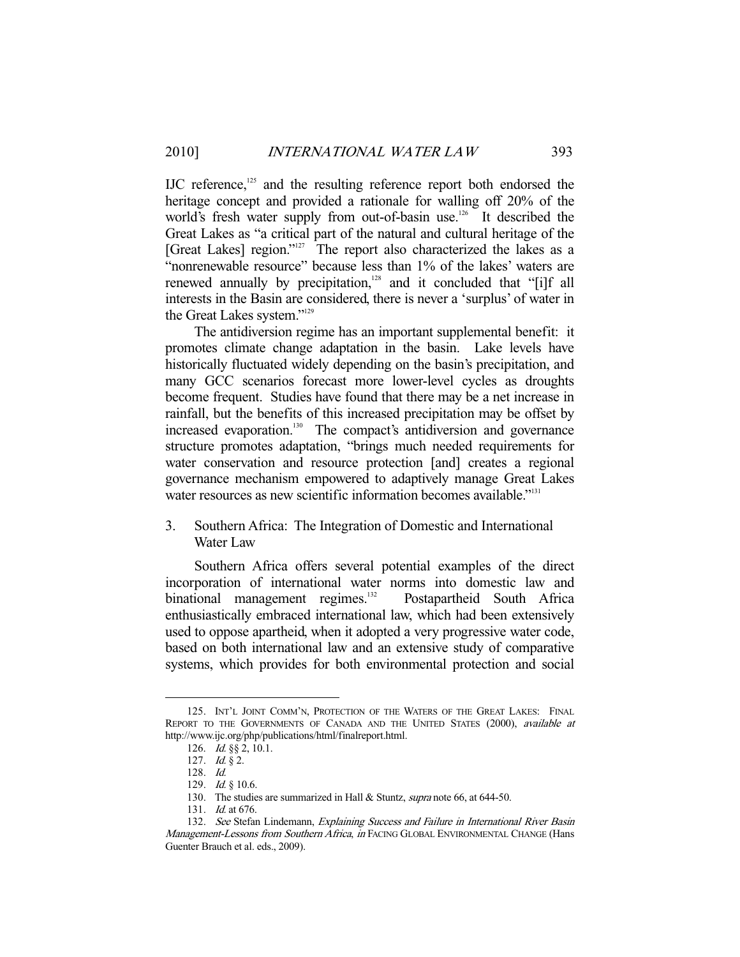IJC reference,<sup>125</sup> and the resulting reference report both endorsed the heritage concept and provided a rationale for walling off 20% of the world's fresh water supply from out-of-basin use.<sup>126</sup> It described the Great Lakes as "a critical part of the natural and cultural heritage of the [Great Lakes] region."<sup>127</sup> The report also characterized the lakes as a "nonrenewable resource" because less than 1% of the lakes' waters are renewed annually by precipitation, $128$  and it concluded that "[i]f all interests in the Basin are considered, there is never a 'surplus' of water in the Great Lakes system."129

 The antidiversion regime has an important supplemental benefit: it promotes climate change adaptation in the basin. Lake levels have historically fluctuated widely depending on the basin's precipitation, and many GCC scenarios forecast more lower-level cycles as droughts become frequent. Studies have found that there may be a net increase in rainfall, but the benefits of this increased precipitation may be offset by increased evaporation.<sup>130</sup> The compact's antidiversion and governance structure promotes adaptation, "brings much needed requirements for water conservation and resource protection [and] creates a regional governance mechanism empowered to adaptively manage Great Lakes water resources as new scientific information becomes available."<sup>131</sup>

# 3. Southern Africa: The Integration of Domestic and International Water Law

 Southern Africa offers several potential examples of the direct incorporation of international water norms into domestic law and binational management regimes.<sup>132</sup> Postapartheid South Africa enthusiastically embraced international law, which had been extensively used to oppose apartheid, when it adopted a very progressive water code, based on both international law and an extensive study of comparative systems, which provides for both environmental protection and social

 <sup>125.</sup> INT'L JOINT COMM'N, PROTECTION OF THE WATERS OF THE GREAT LAKES: FINAL REPORT TO THE GOVERNMENTS OF CANADA AND THE UNITED STATES (2000), available at http://www.ijc.org/php/publications/html/finalreport.html.

 <sup>126.</sup> Id. §§ 2, 10.1.

<sup>127.</sup> *Id.* § 2.

 <sup>128.</sup> Id.

<sup>129.</sup> *Id.* § 10.6.

<sup>130.</sup> The studies are summarized in Hall & Stuntz, *supra* note 66, at 644-50.

 <sup>131.</sup> Id. at 676.

<sup>132.</sup> See Stefan Lindemann, Explaining Success and Failure in International River Basin Management-Lessons from Southern Africa, in FACING GLOBAL ENVIRONMENTAL CHANGE (Hans Guenter Brauch et al. eds., 2009).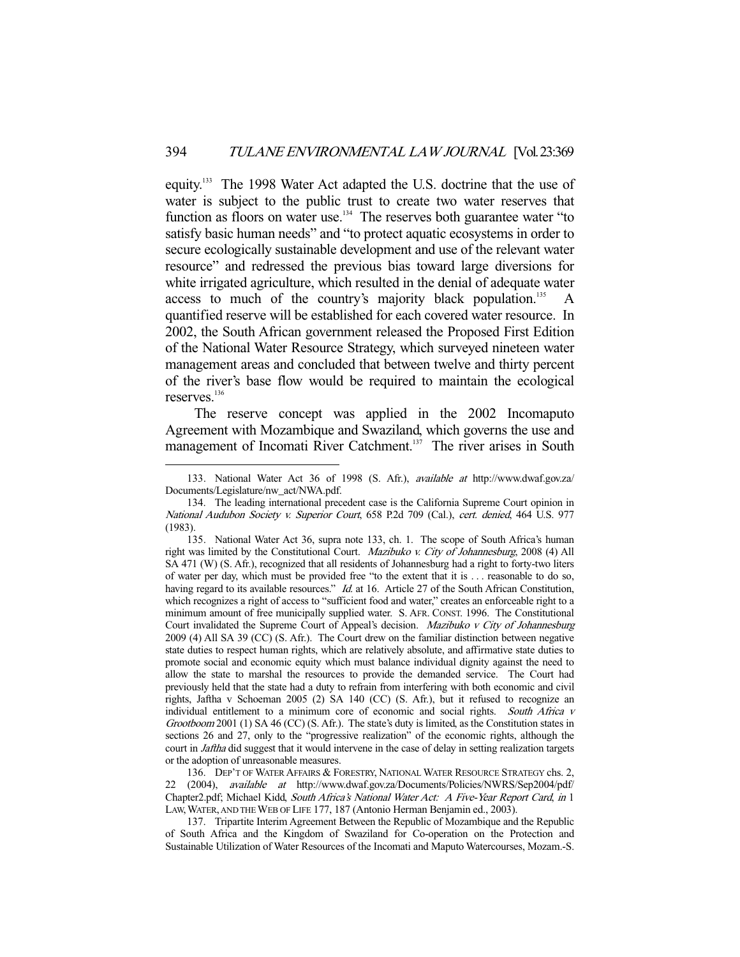equity.133 The 1998 Water Act adapted the U.S. doctrine that the use of water is subject to the public trust to create two water reserves that function as floors on water use.<sup>134</sup> The reserves both guarantee water "to satisfy basic human needs" and "to protect aquatic ecosystems in order to secure ecologically sustainable development and use of the relevant water resource" and redressed the previous bias toward large diversions for white irrigated agriculture, which resulted in the denial of adequate water access to much of the country's majority black population.<sup>135</sup> quantified reserve will be established for each covered water resource. In 2002, the South African government released the Proposed First Edition of the National Water Resource Strategy, which surveyed nineteen water management areas and concluded that between twelve and thirty percent of the river's base flow would be required to maintain the ecological reserves.<sup>136</sup>

 The reserve concept was applied in the 2002 Incomaputo Agreement with Mozambique and Swaziland, which governs the use and management of Incomati River Catchment.<sup>137</sup> The river arises in South

-

136. DEP'T OF WATER AFFAIRS & FORESTRY, NATIONAL WATER RESOURCE STRATEGY chs. 2, 22 (2004), available at http://www.dwaf.gov.za/Documents/Policies/NWRS/Sep2004/pdf/ Chapter2.pdf; Michael Kidd, South Africa's National Water Act: A Five-Year Report Card, in 1 LAW,WATER, AND THE WEB OF LIFE 177, 187 (Antonio Herman Benjamin ed., 2003).

 137. Tripartite Interim Agreement Between the Republic of Mozambique and the Republic of South Africa and the Kingdom of Swaziland for Co-operation on the Protection and Sustainable Utilization of Water Resources of the Incomati and Maputo Watercourses, Mozam.-S.

 <sup>133.</sup> National Water Act 36 of 1998 (S. Afr.), available at http://www.dwaf.gov.za/ Documents/Legislature/nw\_act/NWA.pdf.

 <sup>134.</sup> The leading international precedent case is the California Supreme Court opinion in National Audubon Society v. Superior Court, 658 P.2d 709 (Cal.), cert. denied, 464 U.S. 977 (1983).

 <sup>135.</sup> National Water Act 36, supra note 133, ch. 1. The scope of South Africa's human right was limited by the Constitutional Court. *Mazibuko v. City of Johannesburg*, 2008 (4) All SA 471 (W) (S. Afr.), recognized that all residents of Johannesburg had a right to forty-two liters of water per day, which must be provided free "to the extent that it is . . . reasonable to do so, having regard to its available resources." Id. at 16. Article 27 of the South African Constitution, which recognizes a right of access to "sufficient food and water," creates an enforceable right to a minimum amount of free municipally supplied water. S. AFR. CONST. 1996. The Constitutional Court invalidated the Supreme Court of Appeal's decision. Mazibuko v City of Johannesburg 2009 (4) All SA 39 (CC) (S. Afr.). The Court drew on the familiar distinction between negative state duties to respect human rights, which are relatively absolute, and affirmative state duties to promote social and economic equity which must balance individual dignity against the need to allow the state to marshal the resources to provide the demanded service. The Court had previously held that the state had a duty to refrain from interfering with both economic and civil rights, Jaftha v Schoeman 2005 (2) SA 140 (CC) (S. Afr.), but it refused to recognize an individual entitlement to a minimum core of economic and social rights. South Africa v Grootboom 2001 (1) SA 46 (CC) (S. Afr.). The state's duty is limited, as the Constitution states in sections 26 and 27, only to the "progressive realization" of the economic rights, although the court in *Jaftha* did suggest that it would intervene in the case of delay in setting realization targets or the adoption of unreasonable measures.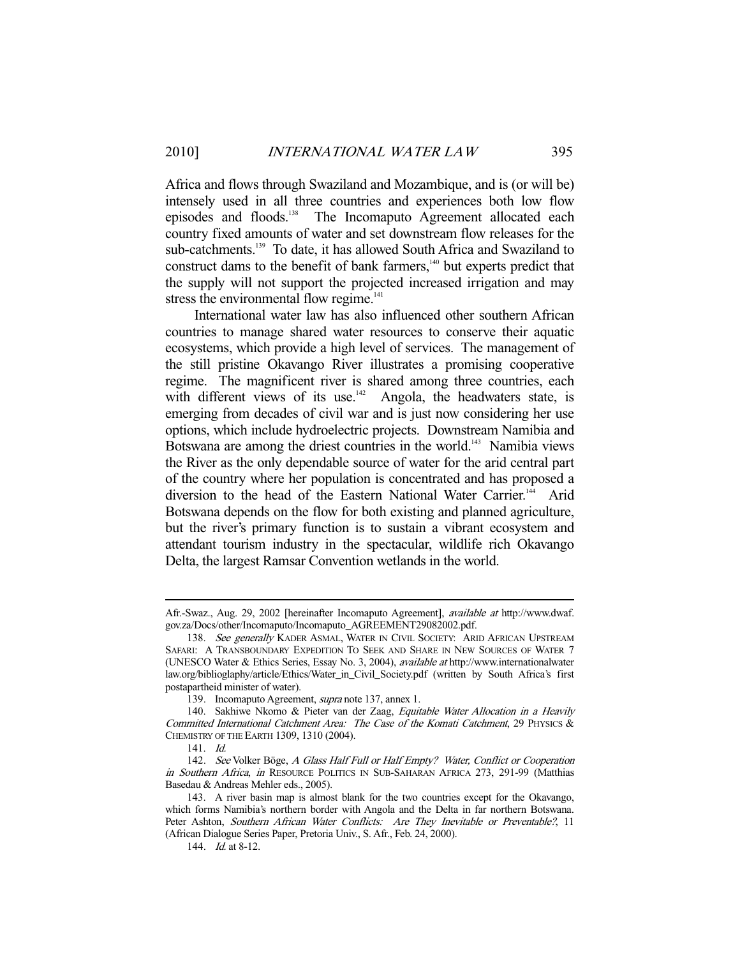Africa and flows through Swaziland and Mozambique, and is (or will be) intensely used in all three countries and experiences both low flow episodes and floods.138 The Incomaputo Agreement allocated each country fixed amounts of water and set downstream flow releases for the sub-catchments.<sup>139</sup> To date, it has allowed South Africa and Swaziland to construct dams to the benefit of bank farmers, $140$  but experts predict that the supply will not support the projected increased irrigation and may stress the environmental flow regime.<sup>141</sup>

 International water law has also influenced other southern African countries to manage shared water resources to conserve their aquatic ecosystems, which provide a high level of services. The management of the still pristine Okavango River illustrates a promising cooperative regime. The magnificent river is shared among three countries, each with different views of its use. $142$  Angola, the headwaters state, is emerging from decades of civil war and is just now considering her use options, which include hydroelectric projects. Downstream Namibia and Botswana are among the driest countries in the world.<sup>143</sup> Namibia views the River as the only dependable source of water for the arid central part of the country where her population is concentrated and has proposed a diversion to the head of the Eastern National Water Carrier.<sup>144</sup> Arid Botswana depends on the flow for both existing and planned agriculture, but the river's primary function is to sustain a vibrant ecosystem and attendant tourism industry in the spectacular, wildlife rich Okavango Delta, the largest Ramsar Convention wetlands in the world.

Afr.-Swaz., Aug. 29, 2002 [hereinafter Incomaputo Agreement], available at http://www.dwaf. gov.za/Docs/other/Incomaputo/Incomaputo\_AGREEMENT29082002.pdf.

<sup>138.</sup> See generally KADER ASMAL, WATER IN CIVIL SOCIETY: ARID AFRICAN UPSTREAM SAFARI: A TRANSBOUNDARY EXPEDITION TO SEEK AND SHARE IN NEW SOURCES OF WATER 7 (UNESCO Water & Ethics Series, Essay No. 3, 2004), available at http://www.internationalwater law.org/biblioglaphy/article/Ethics/Water\_in\_Civil\_Society.pdf (written by South Africa's first postapartheid minister of water).

 <sup>139.</sup> Incomaputo Agreement, supra note 137, annex 1.

<sup>140.</sup> Sakhiwe Nkomo & Pieter van der Zaag, Equitable Water Allocation in a Heavily Committed International Catchment Area: The Case of the Komati Catchment, 29 PHYSICS & CHEMISTRY OF THE EARTH 1309, 1310 (2004).

 <sup>141.</sup> Id.

<sup>142.</sup> See Volker Böge, A Glass Half Full or Half Empty? Water, Conflict or Cooperation in Southern Africa, in RESOURCE POLITICS IN SUB-SAHARAN AFRICA 273, 291-99 (Matthias Basedau & Andreas Mehler eds., 2005).

 <sup>143.</sup> A river basin map is almost blank for the two countries except for the Okavango, which forms Namibia's northern border with Angola and the Delta in far northern Botswana. Peter Ashton, Southern African Water Conflicts: Are They Inevitable or Preventable?, 11 (African Dialogue Series Paper, Pretoria Univ., S. Afr., Feb. 24, 2000).

<sup>144.</sup> *Id.* at 8-12.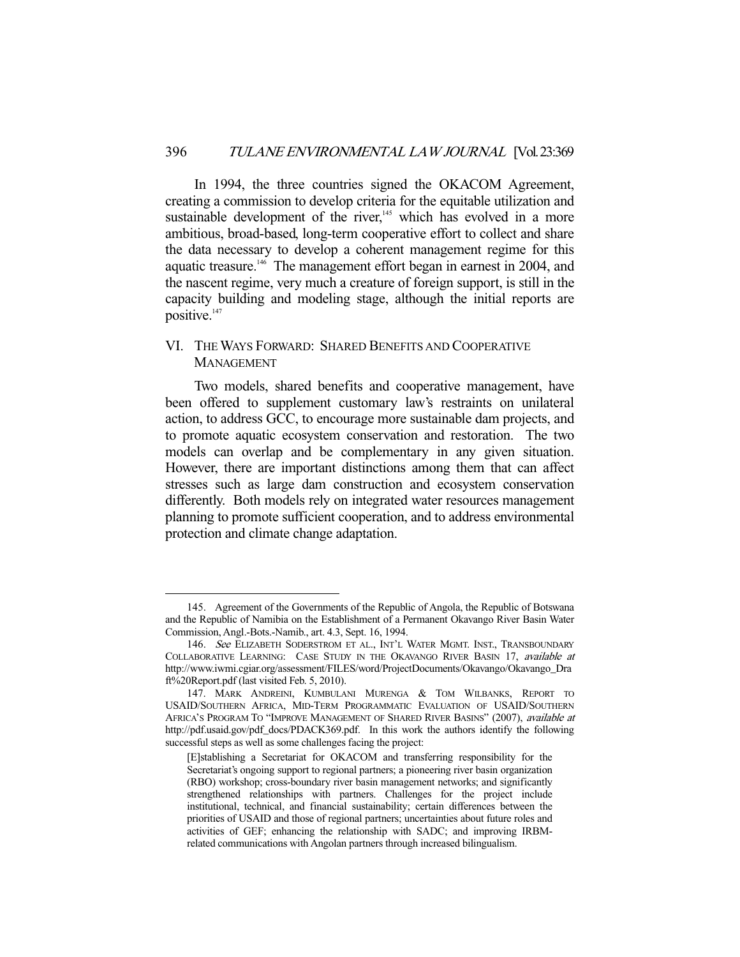In 1994, the three countries signed the OKACOM Agreement, creating a commission to develop criteria for the equitable utilization and sustainable development of the river, $145$  which has evolved in a more ambitious, broad-based, long-term cooperative effort to collect and share the data necessary to develop a coherent management regime for this aquatic treasure.<sup>146</sup> The management effort began in earnest in 2004, and the nascent regime, very much a creature of foreign support, is still in the capacity building and modeling stage, although the initial reports are positive.<sup>147</sup>

# VI. THE WAYS FORWARD: SHARED BENEFITS AND COOPERATIVE MANAGEMENT

 Two models, shared benefits and cooperative management, have been offered to supplement customary law's restraints on unilateral action, to address GCC, to encourage more sustainable dam projects, and to promote aquatic ecosystem conservation and restoration. The two models can overlap and be complementary in any given situation. However, there are important distinctions among them that can affect stresses such as large dam construction and ecosystem conservation differently. Both models rely on integrated water resources management planning to promote sufficient cooperation, and to address environmental protection and climate change adaptation.

 <sup>145.</sup> Agreement of the Governments of the Republic of Angola, the Republic of Botswana and the Republic of Namibia on the Establishment of a Permanent Okavango River Basin Water Commission, Angl.-Bots.-Namib., art. 4.3, Sept. 16, 1994.

<sup>146.</sup> See ELIZABETH SODERSTROM ET AL., INT'L WATER MGMT. INST., TRANSBOUNDARY COLLABORATIVE LEARNING: CASE STUDY IN THE OKAVANGO RIVER BASIN 17, available at http://www.iwmi.cgiar.org/assessment/FILES/word/ProjectDocuments/Okavango/Okavango\_Dra ft%20Report.pdf (last visited Feb. 5, 2010).

 <sup>147.</sup> MARK ANDREINI, KUMBULANI MURENGA & TOM WILBANKS, REPORT TO USAID/SOUTHERN AFRICA, MID-TERM PROGRAMMATIC EVALUATION OF USAID/SOUTHERN AFRICA'S PROGRAM TO "IMPROVE MANAGEMENT OF SHARED RIVER BASINS" (2007), available at http://pdf.usaid.gov/pdf\_docs/PDACK369.pdf. In this work the authors identify the following successful steps as well as some challenges facing the project:

<sup>[</sup>E]stablishing a Secretariat for OKACOM and transferring responsibility for the Secretariat's ongoing support to regional partners; a pioneering river basin organization (RBO) workshop; cross-boundary river basin management networks; and significantly strengthened relationships with partners. Challenges for the project include institutional, technical, and financial sustainability; certain differences between the priorities of USAID and those of regional partners; uncertainties about future roles and activities of GEF; enhancing the relationship with SADC; and improving IRBMrelated communications with Angolan partners through increased bilingualism.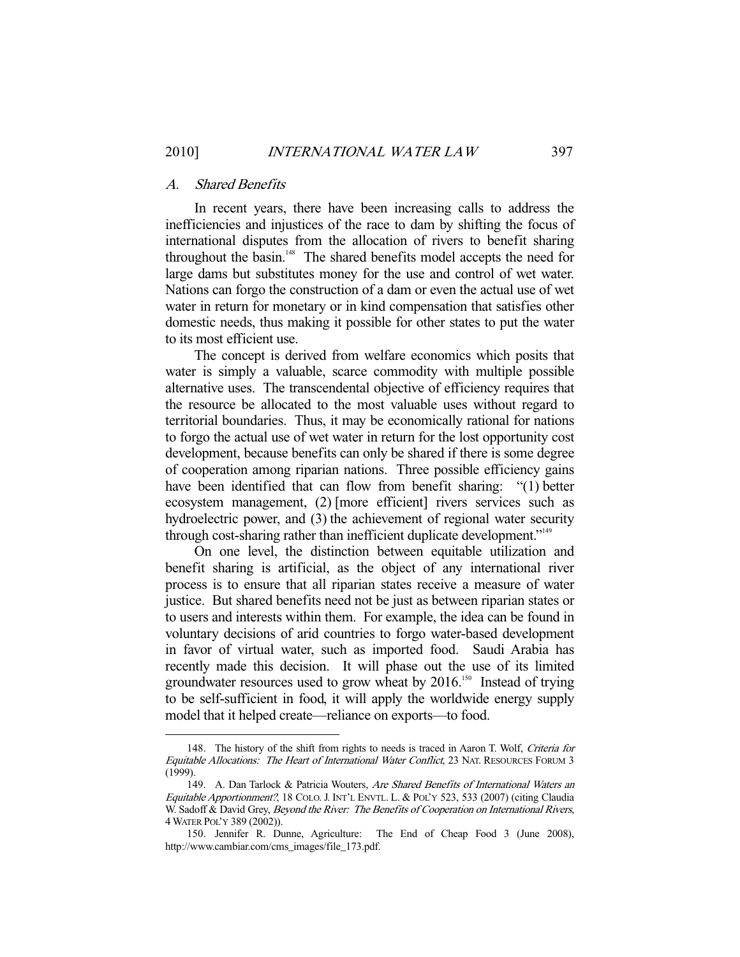#### A. Shared Benefits

 In recent years, there have been increasing calls to address the inefficiencies and injustices of the race to dam by shifting the focus of international disputes from the allocation of rivers to benefit sharing throughout the basin.<sup>148</sup> The shared benefits model accepts the need for large dams but substitutes money for the use and control of wet water. Nations can forgo the construction of a dam or even the actual use of wet water in return for monetary or in kind compensation that satisfies other domestic needs, thus making it possible for other states to put the water to its most efficient use.

 The concept is derived from welfare economics which posits that water is simply a valuable, scarce commodity with multiple possible alternative uses. The transcendental objective of efficiency requires that the resource be allocated to the most valuable uses without regard to territorial boundaries. Thus, it may be economically rational for nations to forgo the actual use of wet water in return for the lost opportunity cost development, because benefits can only be shared if there is some degree of cooperation among riparian nations. Three possible efficiency gains have been identified that can flow from benefit sharing: "(1) better ecosystem management, (2) [more efficient] rivers services such as hydroelectric power, and (3) the achievement of regional water security through cost-sharing rather than inefficient duplicate development."149

 On one level, the distinction between equitable utilization and benefit sharing is artificial, as the object of any international river process is to ensure that all riparian states receive a measure of water justice. But shared benefits need not be just as between riparian states or to users and interests within them. For example, the idea can be found in voluntary decisions of arid countries to forgo water-based development in favor of virtual water, such as imported food. Saudi Arabia has recently made this decision. It will phase out the use of its limited groundwater resources used to grow wheat by 2016.<sup>150</sup> Instead of trying to be self-sufficient in food, it will apply the worldwide energy supply model that it helped create—reliance on exports—to food.

<sup>148.</sup> The history of the shift from rights to needs is traced in Aaron T. Wolf, Criteria for Equitable Allocations: The Heart of International Water Conflict, 23 NAT. RESOURCES FORUM 3 (1999).

<sup>149.</sup> A. Dan Tarlock & Patricia Wouters, Are Shared Benefits of International Waters an Equitable Apportionment?, 18 COLO. J. INT'L ENVTL. L. & POL'Y 523, 533 (2007) (citing Claudia W. Sadoff & David Grey, Beyond the River: The Benefits of Cooperation on International Rivers, 4 WATER POL'Y 389 (2002)).

 <sup>150.</sup> Jennifer R. Dunne, Agriculture: The End of Cheap Food 3 (June 2008), http://www.cambiar.com/cms\_images/file\_173.pdf.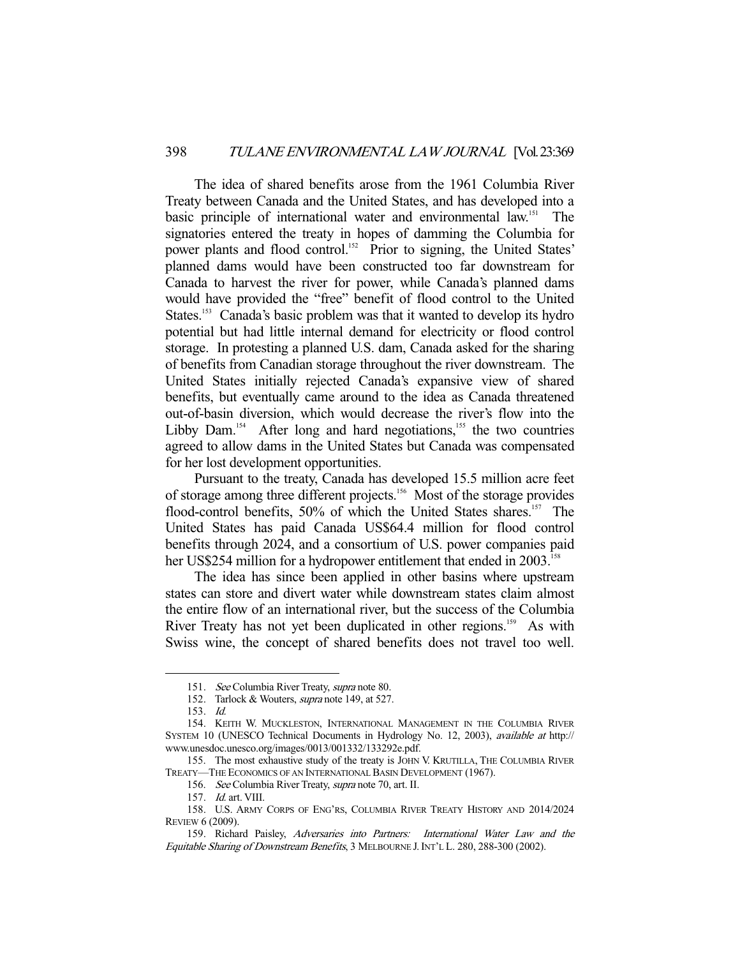The idea of shared benefits arose from the 1961 Columbia River Treaty between Canada and the United States, and has developed into a basic principle of international water and environmental law.<sup>151</sup> The signatories entered the treaty in hopes of damming the Columbia for power plants and flood control.<sup>152</sup> Prior to signing, the United States' planned dams would have been constructed too far downstream for Canada to harvest the river for power, while Canada's planned dams would have provided the "free" benefit of flood control to the United States.<sup>153</sup> Canada's basic problem was that it wanted to develop its hydro potential but had little internal demand for electricity or flood control storage. In protesting a planned U.S. dam, Canada asked for the sharing of benefits from Canadian storage throughout the river downstream. The United States initially rejected Canada's expansive view of shared benefits, but eventually came around to the idea as Canada threatened out-of-basin diversion, which would decrease the river's flow into the Libby Dam.<sup>154</sup> After long and hard negotiations,<sup>155</sup> the two countries agreed to allow dams in the United States but Canada was compensated for her lost development opportunities.

 Pursuant to the treaty, Canada has developed 15.5 million acre feet of storage among three different projects.156 Most of the storage provides flood-control benefits, 50% of which the United States shares.<sup>157</sup> The United States has paid Canada US\$64.4 million for flood control benefits through 2024, and a consortium of U.S. power companies paid her US\$254 million for a hydropower entitlement that ended in 2003.<sup>15</sup>

 The idea has since been applied in other basins where upstream states can store and divert water while downstream states claim almost the entire flow of an international river, but the success of the Columbia River Treaty has not yet been duplicated in other regions.<sup>159</sup> As with Swiss wine, the concept of shared benefits does not travel too well.

<sup>151.</sup> See Columbia River Treaty, supra note 80.

<sup>152.</sup> Tarlock & Wouters, *supra* note 149, at 527.

 <sup>153.</sup> Id.

 <sup>154.</sup> KEITH W. MUCKLESTON, INTERNATIONAL MANAGEMENT IN THE COLUMBIA RIVER SYSTEM 10 (UNESCO Technical Documents in Hydrology No. 12, 2003), available at http:// www.unesdoc.unesco.org/images/0013/001332/133292e.pdf.

 <sup>155.</sup> The most exhaustive study of the treaty is JOHN V. KRUTILLA, THE COLUMBIA RIVER TREATY—THE ECONOMICS OF AN INTERNATIONAL BASIN DEVELOPMENT (1967).

<sup>156.</sup> See Columbia River Treaty, supra note 70, art. II.

 <sup>157.</sup> Id. art. VIII.

 <sup>158.</sup> U.S. ARMY CORPS OF ENG'RS, COLUMBIA RIVER TREATY HISTORY AND 2014/2024 REVIEW 6 (2009).

 <sup>159.</sup> Richard Paisley, Adversaries into Partners: International Water Law and the Equitable Sharing of Downstream Benefits, 3 MELBOURNE J.INT'L L. 280, 288-300 (2002).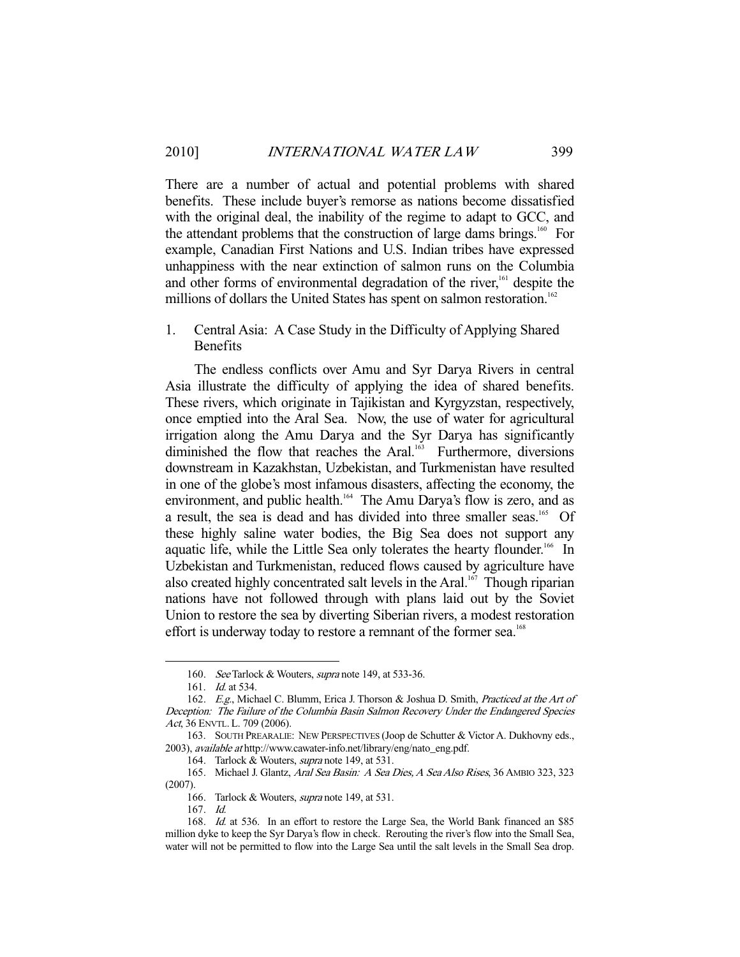There are a number of actual and potential problems with shared benefits. These include buyer's remorse as nations become dissatisfied with the original deal, the inability of the regime to adapt to GCC, and the attendant problems that the construction of large dams brings.<sup>160</sup> For example, Canadian First Nations and U.S. Indian tribes have expressed unhappiness with the near extinction of salmon runs on the Columbia and other forms of environmental degradation of the river,<sup>161</sup> despite the millions of dollars the United States has spent on salmon restoration.<sup>162</sup>

1. Central Asia: A Case Study in the Difficulty of Applying Shared Benefits

 The endless conflicts over Amu and Syr Darya Rivers in central Asia illustrate the difficulty of applying the idea of shared benefits. These rivers, which originate in Tajikistan and Kyrgyzstan, respectively, once emptied into the Aral Sea. Now, the use of water for agricultural irrigation along the Amu Darya and the Syr Darya has significantly diminished the flow that reaches the Aral.<sup>163</sup> Furthermore, diversions downstream in Kazakhstan, Uzbekistan, and Turkmenistan have resulted in one of the globe's most infamous disasters, affecting the economy, the environment, and public health.<sup>164</sup> The Amu Darya's flow is zero, and as a result, the sea is dead and has divided into three smaller seas.<sup>165</sup> Of these highly saline water bodies, the Big Sea does not support any aquatic life, while the Little Sea only tolerates the hearty flounder.<sup>166</sup> In Uzbekistan and Turkmenistan, reduced flows caused by agriculture have also created highly concentrated salt levels in the Aral.<sup>167</sup> Though riparian nations have not followed through with plans laid out by the Soviet Union to restore the sea by diverting Siberian rivers, a modest restoration effort is underway today to restore a remnant of the former sea.<sup>168</sup>

<sup>160.</sup> See Tarlock & Wouters, supra note 149, at 533-36.

<sup>161.</sup> *Id.* at 534.

<sup>162.</sup> E.g., Michael C. Blumm, Erica J. Thorson & Joshua D. Smith, Practiced at the Art of Deception: The Failure of the Columbia Basin Salmon Recovery Under the Endangered Species Act, 36 ENVTL. L. 709 (2006).

 <sup>163.</sup> SOUTH PREARALIE: NEW PERSPECTIVES (Joop de Schutter & Victor A. Dukhovny eds., 2003), available at http://www.cawater-info.net/library/eng/nato\_eng.pdf.

<sup>164.</sup> Tarlock & Wouters, *supra* note 149, at 531.

 <sup>165.</sup> Michael J. Glantz, Aral Sea Basin: A Sea Dies, A Sea Also Rises, 36 AMBIO 323, 323 (2007).

<sup>166.</sup> Tarlock & Wouters, *supra* note 149, at 531.

 <sup>167.</sup> Id.

 <sup>168.</sup> Id. at 536. In an effort to restore the Large Sea, the World Bank financed an \$85 million dyke to keep the Syr Darya's flow in check. Rerouting the river's flow into the Small Sea, water will not be permitted to flow into the Large Sea until the salt levels in the Small Sea drop.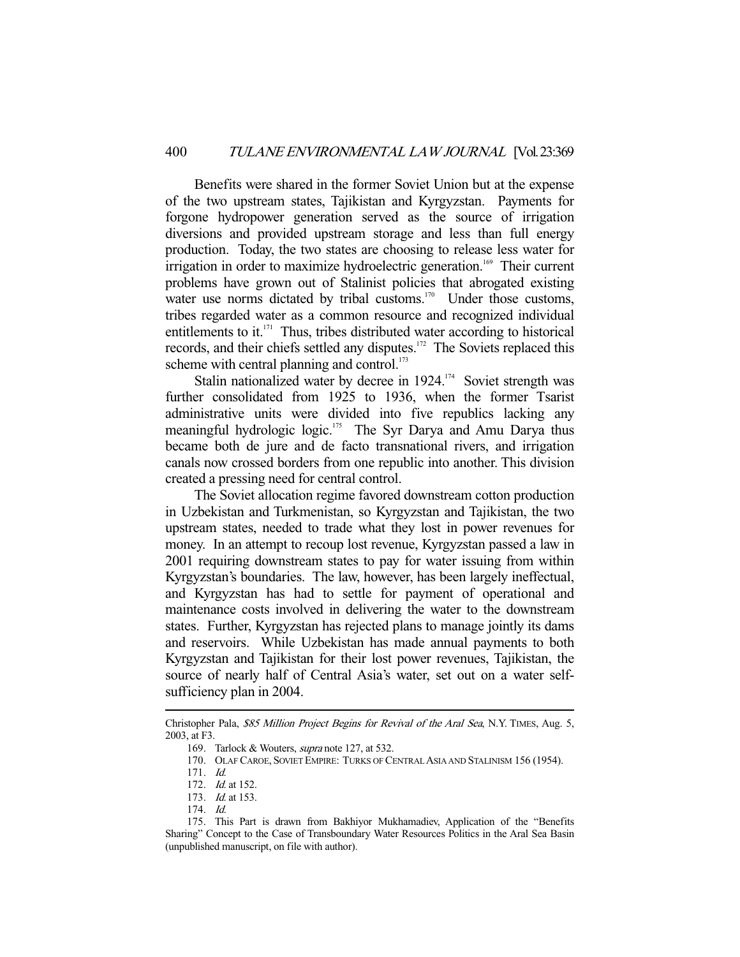Benefits were shared in the former Soviet Union but at the expense of the two upstream states, Tajikistan and Kyrgyzstan. Payments for forgone hydropower generation served as the source of irrigation diversions and provided upstream storage and less than full energy production. Today, the two states are choosing to release less water for irrigation in order to maximize hydroelectric generation.<sup>169</sup> Their current problems have grown out of Stalinist policies that abrogated existing water use norms dictated by tribal customs.<sup>170</sup> Under those customs, tribes regarded water as a common resource and recognized individual entitlements to it. $171$  Thus, tribes distributed water according to historical records, and their chiefs settled any disputes.<sup>172</sup> The Soviets replaced this scheme with central planning and control. $173$ 

Stalin nationalized water by decree in  $1924$ .<sup>174</sup> Soviet strength was further consolidated from 1925 to 1936, when the former Tsarist administrative units were divided into five republics lacking any meaningful hydrologic logic.175 The Syr Darya and Amu Darya thus became both de jure and de facto transnational rivers, and irrigation canals now crossed borders from one republic into another. This division created a pressing need for central control.

 The Soviet allocation regime favored downstream cotton production in Uzbekistan and Turkmenistan, so Kyrgyzstan and Tajikistan, the two upstream states, needed to trade what they lost in power revenues for money. In an attempt to recoup lost revenue, Kyrgyzstan passed a law in 2001 requiring downstream states to pay for water issuing from within Kyrgyzstan's boundaries. The law, however, has been largely ineffectual, and Kyrgyzstan has had to settle for payment of operational and maintenance costs involved in delivering the water to the downstream states. Further, Kyrgyzstan has rejected plans to manage jointly its dams and reservoirs. While Uzbekistan has made annual payments to both Kyrgyzstan and Tajikistan for their lost power revenues, Tajikistan, the source of nearly half of Central Asia's water, set out on a water selfsufficiency plan in 2004.

Christopher Pala, \$85 Million Project Begins for Revival of the Aral Sea, N.Y. TIMES, Aug. 5, 2003, at F3.

 <sup>169.</sup> Tarlock & Wouters, supra note 127, at 532.

 <sup>170.</sup> OLAF CAROE, SOVIET EMPIRE: TURKS OF CENTRAL ASIA AND STALINISM 156 (1954).

 <sup>171.</sup> Id.

<sup>172.</sup> *Id.* at 152.

 <sup>173.</sup> Id. at 153.

 <sup>174.</sup> Id.

 <sup>175.</sup> This Part is drawn from Bakhiyor Mukhamadiev, Application of the "Benefits Sharing" Concept to the Case of Transboundary Water Resources Politics in the Aral Sea Basin (unpublished manuscript, on file with author).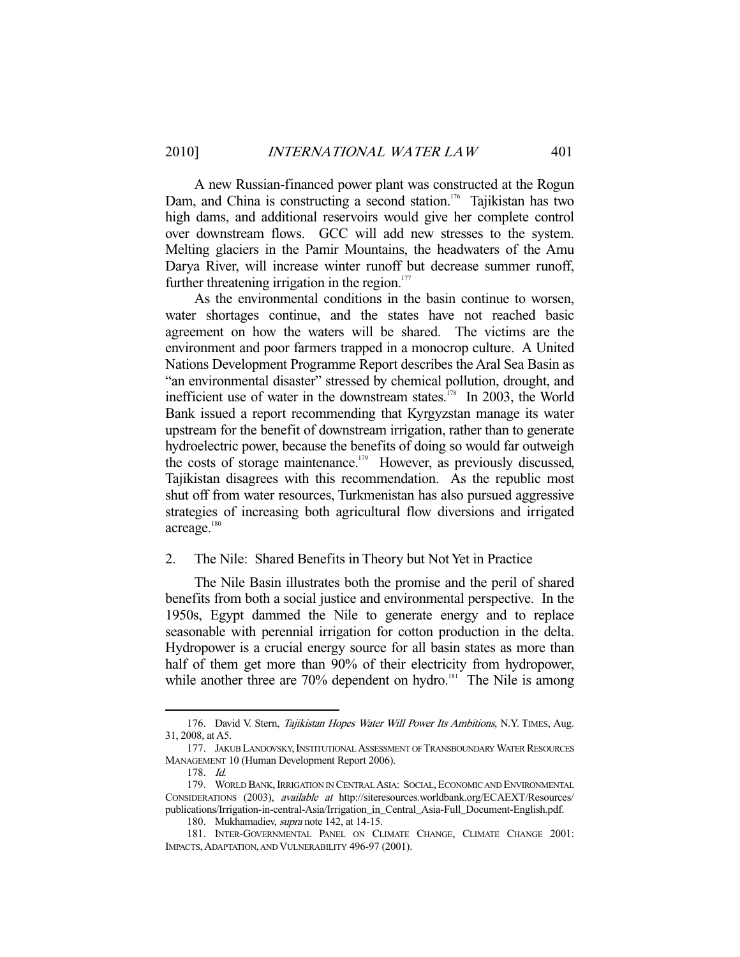A new Russian-financed power plant was constructed at the Rogun Dam, and China is constructing a second station.<sup>176</sup> Tajikistan has two high dams, and additional reservoirs would give her complete control over downstream flows. GCC will add new stresses to the system. Melting glaciers in the Pamir Mountains, the headwaters of the Amu Darya River, will increase winter runoff but decrease summer runoff, further threatening irrigation in the region. $177$ 

 As the environmental conditions in the basin continue to worsen, water shortages continue, and the states have not reached basic agreement on how the waters will be shared. The victims are the environment and poor farmers trapped in a monocrop culture. A United Nations Development Programme Report describes the Aral Sea Basin as "an environmental disaster" stressed by chemical pollution, drought, and inefficient use of water in the downstream states.<sup> $178$ </sup> In 2003, the World Bank issued a report recommending that Kyrgyzstan manage its water upstream for the benefit of downstream irrigation, rather than to generate hydroelectric power, because the benefits of doing so would far outweigh the costs of storage maintenance.<sup>179</sup> However, as previously discussed, Tajikistan disagrees with this recommendation. As the republic most shut off from water resources, Turkmenistan has also pursued aggressive strategies of increasing both agricultural flow diversions and irrigated acreage.<sup>180</sup>

#### 2. The Nile: Shared Benefits in Theory but Not Yet in Practice

 The Nile Basin illustrates both the promise and the peril of shared benefits from both a social justice and environmental perspective. In the 1950s, Egypt dammed the Nile to generate energy and to replace seasonable with perennial irrigation for cotton production in the delta. Hydropower is a crucial energy source for all basin states as more than half of them get more than 90% of their electricity from hydropower, while another three are  $70\%$  dependent on hydro.<sup>181</sup> The Nile is among

<sup>176.</sup> David V. Stern, Tajikistan Hopes Water Will Power Its Ambitions, N.Y. TIMES, Aug. 31, 2008, at A5.

 <sup>177.</sup> JAKUB LANDOVSKY,INSTITUTIONAL ASSESSMENT OF TRANSBOUNDARY WATER RESOURCES MANAGEMENT 10 (Human Development Report 2006).

 <sup>178.</sup> Id.

 <sup>179.</sup> WORLD BANK,IRRIGATION IN CENTRAL ASIA: SOCIAL,ECONOMIC AND ENVIRONMENTAL CONSIDERATIONS (2003), available at http://siteresources.worldbank.org/ECAEXT/Resources/ publications/Irrigation-in-central-Asia/Irrigation\_in\_Central\_Asia-Full\_Document-English.pdf.

<sup>180.</sup> Mukhamadiev, *supra* note 142, at 14-15.

 <sup>181.</sup> INTER-GOVERNMENTAL PANEL ON CLIMATE CHANGE, CLIMATE CHANGE 2001: IMPACTS,ADAPTATION, AND VULNERABILITY 496-97 (2001).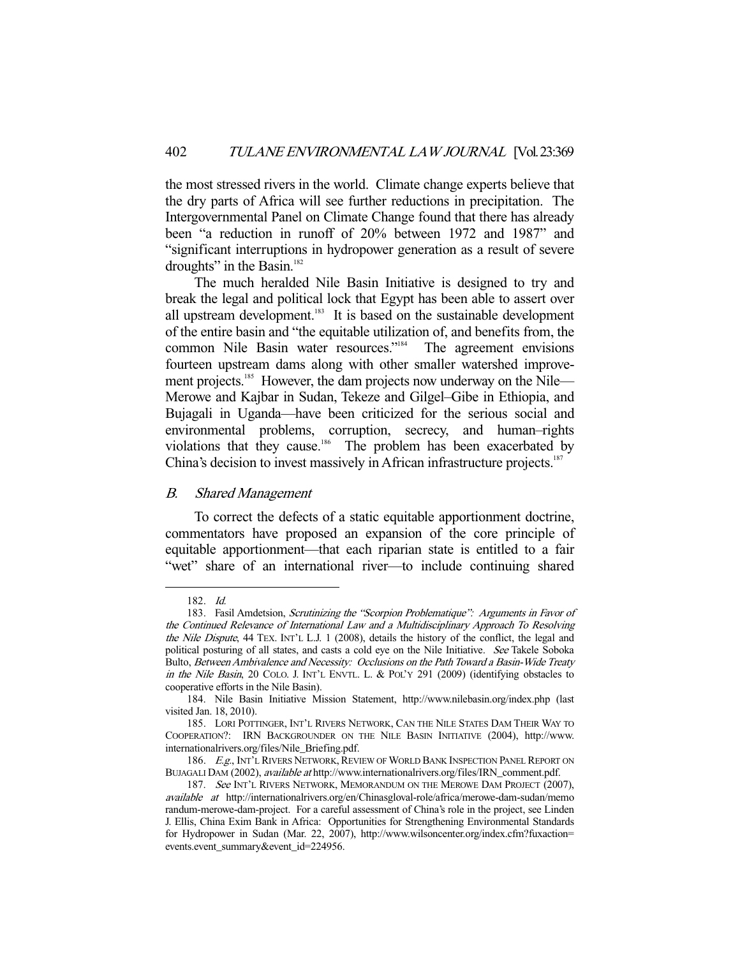the most stressed rivers in the world. Climate change experts believe that the dry parts of Africa will see further reductions in precipitation. The Intergovernmental Panel on Climate Change found that there has already been "a reduction in runoff of 20% between 1972 and 1987" and "significant interruptions in hydropower generation as a result of severe droughts" in the Basin. $182$ 

 The much heralded Nile Basin Initiative is designed to try and break the legal and political lock that Egypt has been able to assert over all upstream development.<sup>183</sup> It is based on the sustainable development of the entire basin and "the equitable utilization of, and benefits from, the common Nile Basin water resources."<sup>184</sup> The agreement envisions fourteen upstream dams along with other smaller watershed improvement projects.<sup>185</sup> However, the dam projects now underway on the Nile— Merowe and Kajbar in Sudan, Tekeze and Gilgel–Gibe in Ethiopia, and Bujagali in Uganda—have been criticized for the serious social and environmental problems, corruption, secrecy, and human–rights violations that they cause.<sup>186</sup> The problem has been exacerbated by China's decision to invest massively in African infrastructure projects.<sup>187</sup>

#### B. Shared Management

 To correct the defects of a static equitable apportionment doctrine, commentators have proposed an expansion of the core principle of equitable apportionment—that each riparian state is entitled to a fair "wet" share of an international river—to include continuing shared

 <sup>182.</sup> Id.

 <sup>183.</sup> Fasil Amdetsion, Scrutinizing the "Scorpion Problematique": Arguments in Favor of the Continued Relevance of International Law and a Multidisciplinary Approach To Resolving the Nile Dispute, 44 TEX. INT'L L.J. 1 (2008), details the history of the conflict, the legal and political posturing of all states, and casts a cold eye on the Nile Initiative. See Takele Soboka Bulto, Between Ambivalence and Necessity: Occlusions on the Path Toward a Basin-Wide Treaty in the Nile Basin, 20 COLO. J. INT'L ENVTL. L. & POL'Y 291 (2009) (identifying obstacles to cooperative efforts in the Nile Basin).

 <sup>184.</sup> Nile Basin Initiative Mission Statement, http://www.nilebasin.org/index.php (last visited Jan. 18, 2010).

 <sup>185.</sup> LORI POTTINGER, INT'L RIVERS NETWORK, CAN THE NILE STATES DAM THEIR WAY TO COOPERATION?: IRN BACKGROUNDER ON THE NILE BASIN INITIATIVE (2004), http://www. internationalrivers.org/files/Nile\_Briefing.pdf.

<sup>186.</sup> E.g., INT'L RIVERS NETWORK, REVIEW OF WORLD BANK INSPECTION PANEL REPORT ON BUJAGALI DAM (2002), available at http://www.internationalrivers.org/files/IRN\_comment.pdf.

<sup>187.</sup> See INT'L RIVERS NETWORK, MEMORANDUM ON THE MEROWE DAM PROJECT (2007), available at http://internationalrivers.org/en/Chinasgloval-role/africa/merowe-dam-sudan/memo randum-merowe-dam-project. For a careful assessment of China's role in the project, see Linden J. Ellis, China Exim Bank in Africa: Opportunities for Strengthening Environmental Standards for Hydropower in Sudan (Mar. 22, 2007), http://www.wilsoncenter.org/index.cfm?fuxaction= events.event\_summary&event\_id=224956.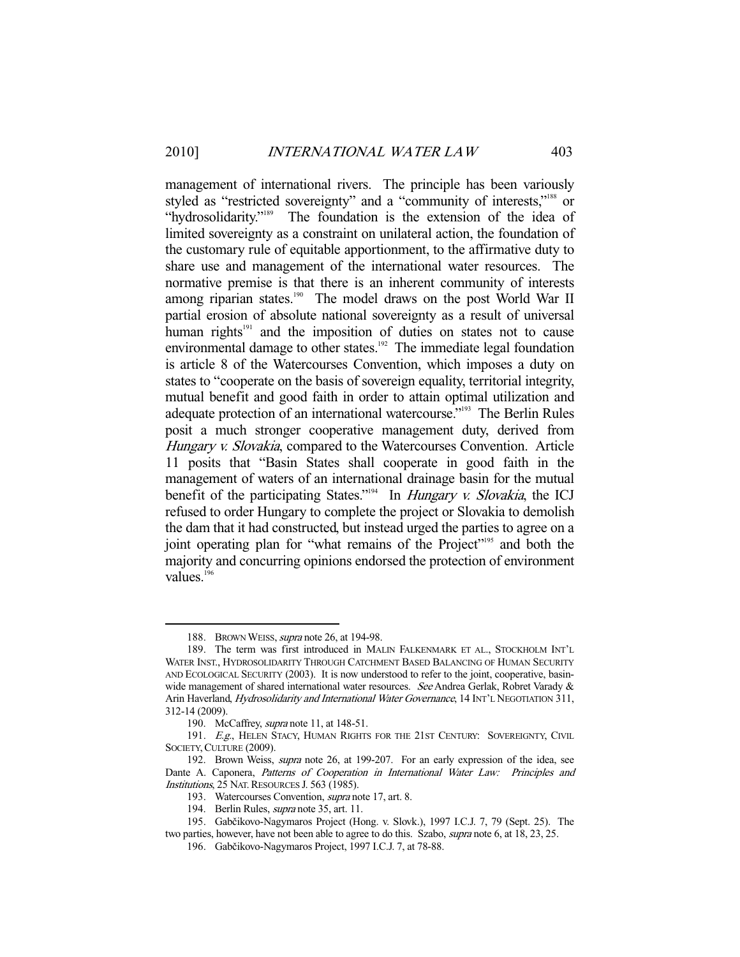-

management of international rivers. The principle has been variously styled as "restricted sovereignty" and a "community of interests,"<sup>188</sup> or "hydrosolidarity."<sup>189</sup> The foundation is the extension of the idea of limited sovereignty as a constraint on unilateral action, the foundation of the customary rule of equitable apportionment, to the affirmative duty to share use and management of the international water resources. The normative premise is that there is an inherent community of interests among riparian states.<sup>190</sup> The model draws on the post World War II partial erosion of absolute national sovereignty as a result of universal human rights<sup>191</sup> and the imposition of duties on states not to cause environmental damage to other states.<sup>192</sup> The immediate legal foundation is article 8 of the Watercourses Convention, which imposes a duty on states to "cooperate on the basis of sovereign equality, territorial integrity, mutual benefit and good faith in order to attain optimal utilization and adequate protection of an international watercourse.<sup>"193</sup> The Berlin Rules posit a much stronger cooperative management duty, derived from Hungary v. Slovakia, compared to the Watercourses Convention. Article 11 posits that "Basin States shall cooperate in good faith in the management of waters of an international drainage basin for the mutual benefit of the participating States."<sup>194</sup> In *Hungary v. Slovakia*, the ICJ refused to order Hungary to complete the project or Slovakia to demolish the dam that it had constructed, but instead urged the parties to agree on a joint operating plan for "what remains of the Project"<sup>195</sup> and both the majority and concurring opinions endorsed the protection of environment values.<sup>196</sup>

<sup>188.</sup> BROWN WEISS, supra note 26, at 194-98.

 <sup>189.</sup> The term was first introduced in MALIN FALKENMARK ET AL., STOCKHOLM INT'L WATER INST., HYDROSOLIDARITY THROUGH CATCHMENT BASED BALANCING OF HUMAN SECURITY AND ECOLOGICAL SECURITY (2003). It is now understood to refer to the joint, cooperative, basinwide management of shared international water resources. See Andrea Gerlak, Robret Varady & Arin Haverland, *Hydrosolidarity and International Water Governance*, 14 INT'L NEGOTIATION 311, 312-14 (2009).

<sup>190.</sup> McCaffrey, *supra* note 11, at 148-51.

<sup>191.</sup> E.g., HELEN STACY, HUMAN RIGHTS FOR THE 21ST CENTURY: SOVEREIGNTY, CIVIL SOCIETY, CULTURE (2009).

 <sup>192.</sup> Brown Weiss, supra note 26, at 199-207. For an early expression of the idea, see Dante A. Caponera, Patterns of Cooperation in International Water Law: Principles and Institutions, 25 NAT. RESOURCES J. 563 (1985).

 <sup>193.</sup> Watercourses Convention, supra note 17, art. 8.

<sup>194.</sup> Berlin Rules, *supra* note 35, art. 11.

 <sup>195.</sup> Gabčikovo-Nagymaros Project (Hong. v. Slovk.), 1997 I.C.J. 7, 79 (Sept. 25). The two parties, however, have not been able to agree to do this. Szabo, supra note 6, at 18, 23, 25.

 <sup>196.</sup> Gabčikovo-Nagymaros Project, 1997 I.C.J. 7, at 78-88.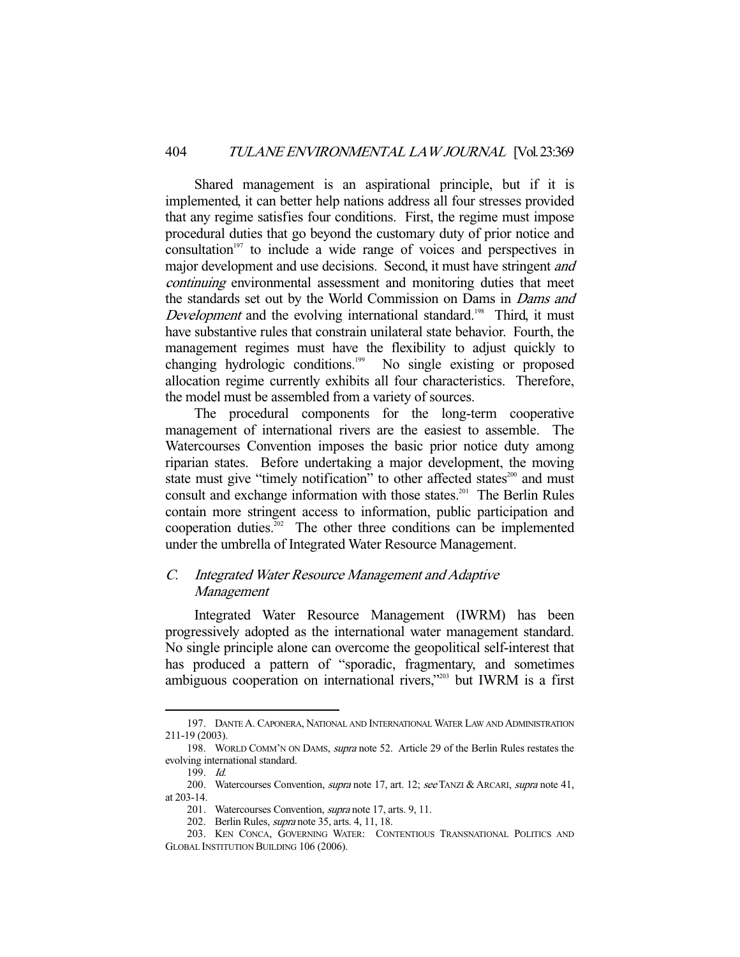Shared management is an aspirational principle, but if it is implemented, it can better help nations address all four stresses provided that any regime satisfies four conditions. First, the regime must impose procedural duties that go beyond the customary duty of prior notice and  $\alpha$  consultation<sup>197</sup> to include a wide range of voices and perspectives in major development and use decisions. Second, it must have stringent *and* continuing environmental assessment and monitoring duties that meet the standards set out by the World Commission on Dams in Dams and Development and the evolving international standard.<sup>198</sup> Third, it must have substantive rules that constrain unilateral state behavior. Fourth, the management regimes must have the flexibility to adjust quickly to changing hydrologic conditions.<sup>199</sup> No single existing or proposed allocation regime currently exhibits all four characteristics. Therefore, the model must be assembled from a variety of sources.

 The procedural components for the long-term cooperative management of international rivers are the easiest to assemble. The Watercourses Convention imposes the basic prior notice duty among riparian states. Before undertaking a major development, the moving state must give "timely notification" to other affected states<sup>200</sup> and must consult and exchange information with those states.<sup>201</sup> The Berlin Rules contain more stringent access to information, public participation and cooperation duties.<sup>202</sup> The other three conditions can be implemented under the umbrella of Integrated Water Resource Management.

# C. Integrated Water Resource Management and Adaptive Management

 Integrated Water Resource Management (IWRM) has been progressively adopted as the international water management standard. No single principle alone can overcome the geopolitical self-interest that has produced a pattern of "sporadic, fragmentary, and sometimes ambiguous cooperation on international rivers,"203 but IWRM is a first

 <sup>197.</sup> DANTE A. CAPONERA, NATIONAL AND INTERNATIONAL WATER LAW AND ADMINISTRATION 211-19 (2003).

 <sup>198.</sup> WORLD COMM'N ON DAMS, supra note 52. Article 29 of the Berlin Rules restates the evolving international standard.

 <sup>199.</sup> Id.

<sup>200.</sup> Watercourses Convention, *supra* note 17, art. 12; see TANZI & ARCARI, supra note 41, at 203-14.

 <sup>201.</sup> Watercourses Convention, supra note 17, arts. 9, 11.

 <sup>202.</sup> Berlin Rules, supra note 35, arts. 4, 11, 18.

 <sup>203.</sup> KEN CONCA, GOVERNING WATER: CONTENTIOUS TRANSNATIONAL POLITICS AND GLOBAL INSTITUTION BUILDING 106 (2006).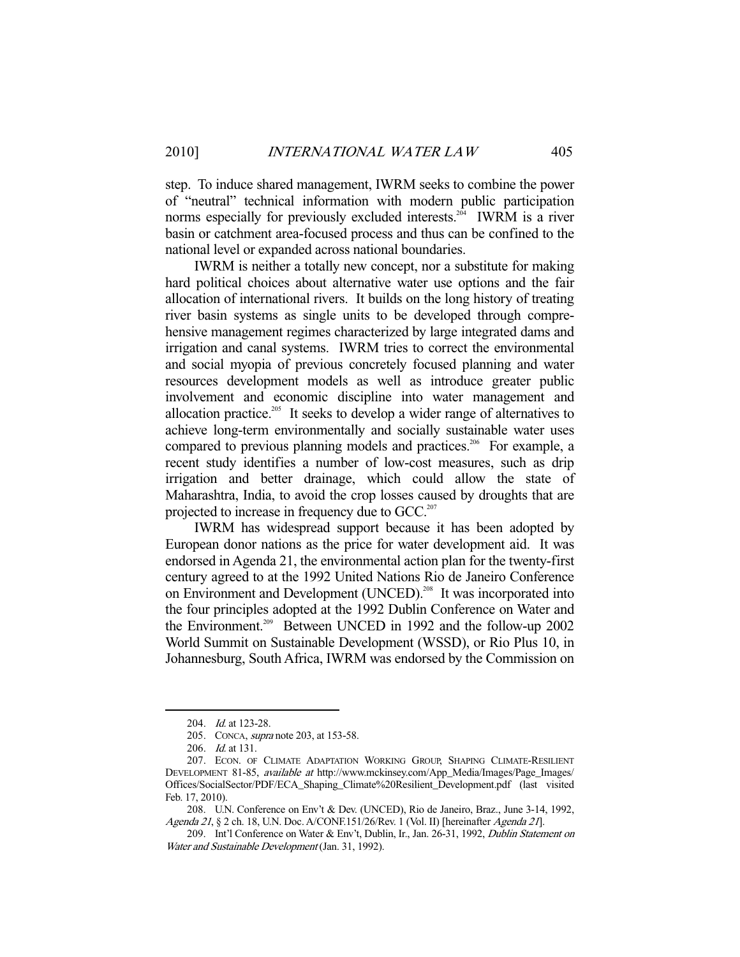step. To induce shared management, IWRM seeks to combine the power of "neutral" technical information with modern public participation norms especially for previously excluded interests.<sup>204</sup> IWRM is a river basin or catchment area-focused process and thus can be confined to the national level or expanded across national boundaries.

 IWRM is neither a totally new concept, nor a substitute for making hard political choices about alternative water use options and the fair allocation of international rivers. It builds on the long history of treating river basin systems as single units to be developed through comprehensive management regimes characterized by large integrated dams and irrigation and canal systems. IWRM tries to correct the environmental and social myopia of previous concretely focused planning and water resources development models as well as introduce greater public involvement and economic discipline into water management and allocation practice.<sup>205</sup> It seeks to develop a wider range of alternatives to achieve long-term environmentally and socially sustainable water uses compared to previous planning models and practices.<sup>206</sup> For example, a recent study identifies a number of low-cost measures, such as drip irrigation and better drainage, which could allow the state of Maharashtra, India, to avoid the crop losses caused by droughts that are projected to increase in frequency due to GCC.<sup>207</sup>

 IWRM has widespread support because it has been adopted by European donor nations as the price for water development aid. It was endorsed in Agenda 21, the environmental action plan for the twenty-first century agreed to at the 1992 United Nations Rio de Janeiro Conference on Environment and Development (UNCED).<sup>208</sup> It was incorporated into the four principles adopted at the 1992 Dublin Conference on Water and the Environment.<sup>209</sup> Between UNCED in 1992 and the follow-up 2002 World Summit on Sustainable Development (WSSD), or Rio Plus 10, in Johannesburg, South Africa, IWRM was endorsed by the Commission on

<sup>204.</sup> *Id.* at 123-28.

 <sup>205.</sup> CONCA, supra note 203, at 153-58.

 <sup>206.</sup> Id. at 131.

 <sup>207.</sup> ECON. OF CLIMATE ADAPTATION WORKING GROUP, SHAPING CLIMATE-RESILIENT DEVELOPMENT 81-85, available at http://www.mckinsey.com/App\_Media/Images/Page\_Images/ Offices/SocialSector/PDF/ECA\_Shaping\_Climate%20Resilient\_Development.pdf (last visited Feb. 17, 2010).

 <sup>208.</sup> U.N. Conference on Env't & Dev. (UNCED), Rio de Janeiro, Braz., June 3-14, 1992, Agenda 21, § 2 ch. 18, U.N. Doc. A/CONF.151/26/Rev. 1 (Vol. II) [hereinafter Agenda 21].

 <sup>209.</sup> Int'l Conference on Water & Env't, Dublin, Ir., Jan. 26-31, 1992, Dublin Statement on Water and Sustainable Development (Jan. 31, 1992).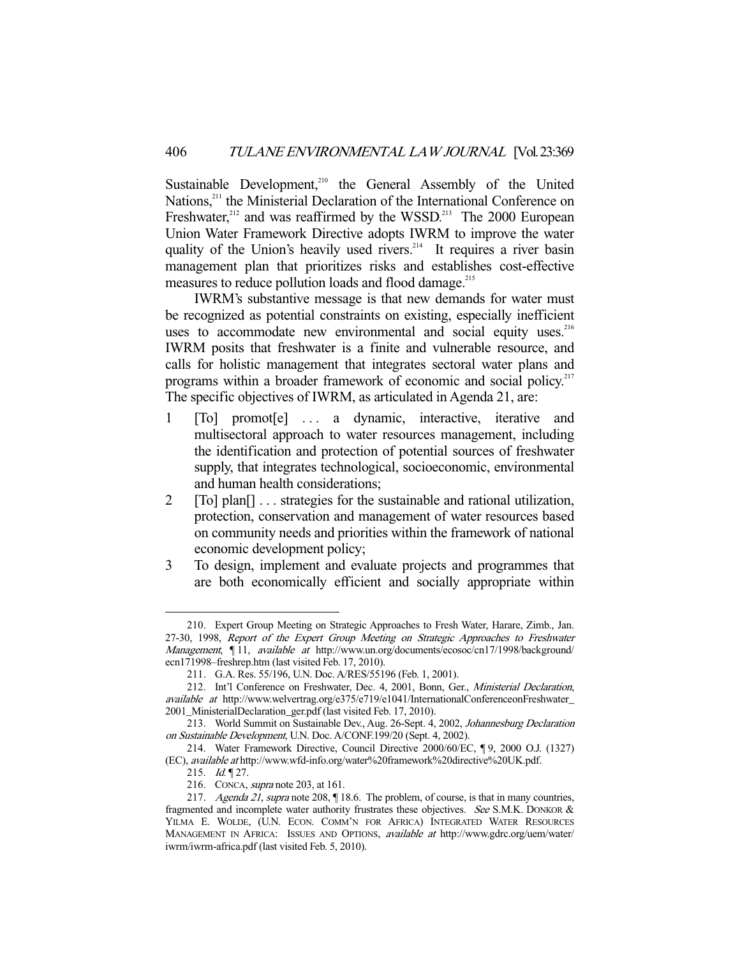Sustainable Development,<sup>210</sup> the General Assembly of the United Nations,<sup>211</sup> the Ministerial Declaration of the International Conference on Freshwater, $212$  and was reaffirmed by the WSSD.<sup>213</sup> The 2000 European Union Water Framework Directive adopts IWRM to improve the water quality of the Union's heavily used rivers.<sup>214</sup> It requires a river basin management plan that prioritizes risks and establishes cost-effective measures to reduce pollution loads and flood damage.<sup>215</sup>

 IWRM's substantive message is that new demands for water must be recognized as potential constraints on existing, especially inefficient uses to accommodate new environmental and social equity uses.<sup>216</sup> IWRM posits that freshwater is a finite and vulnerable resource, and calls for holistic management that integrates sectoral water plans and programs within a broader framework of economic and social policy.<sup>217</sup> The specific objectives of IWRM, as articulated in Agenda 21, are:

- 1 [To] promot[e] . . . a dynamic, interactive, iterative and multisectoral approach to water resources management, including the identification and protection of potential sources of freshwater supply, that integrates technological, socioeconomic, environmental and human health considerations;
- 2 [To] plan[] . . . strategies for the sustainable and rational utilization, protection, conservation and management of water resources based on community needs and priorities within the framework of national economic development policy;
- 3 To design, implement and evaluate projects and programmes that are both economically efficient and socially appropriate within

 <sup>210.</sup> Expert Group Meeting on Strategic Approaches to Fresh Water, Harare, Zimb., Jan. 27-30, 1998, Report of the Expert Group Meeting on Strategic Approaches to Freshwater Management, [11, available at http://www.un.org/documents/ecosoc/cn17/1998/background/ ecn171998–freshrep.htm (last visited Feb. 17, 2010).

 <sup>211.</sup> G.A. Res. 55/196, U.N. Doc. A/RES/55196 (Feb. 1, 2001).

 <sup>212.</sup> Int'l Conference on Freshwater, Dec. 4, 2001, Bonn, Ger., Ministerial Declaration, available at http://www.welvertrag.org/e375/e719/e1041/InternationalConferenceonFreshwater\_ 2001\_MinisterialDeclaration\_ger.pdf (last visited Feb. 17, 2010).

 <sup>213.</sup> World Summit on Sustainable Dev., Aug. 26-Sept. 4, 2002, Johannesburg Declaration on Sustainable Development, U.N. Doc. A/CONF.199/20 (Sept. 4, 2002).

 <sup>214.</sup> Water Framework Directive, Council Directive 2000/60/EC, ¶ 9, 2000 O.J. (1327) (EC), available at http://www.wfd-info.org/water%20framework%20directive%20UK.pdf.

<sup>215.</sup> *Id.* 127.

 <sup>216.</sup> CONCA, supra note 203, at 161.

<sup>217.</sup> Agenda 21, supra note 208, 18.6. The problem, of course, is that in many countries, fragmented and incomplete water authority frustrates these objectives. See S.M.K. DONKOR & YILMA E. WOLDE, (U.N. ECON. COMM'N FOR AFRICA) INTEGRATED WATER RESOURCES MANAGEMENT IN AFRICA: ISSUES AND OPTIONS, *available at* http://www.gdrc.org/uem/water/ iwrm/iwrm-africa.pdf (last visited Feb. 5, 2010).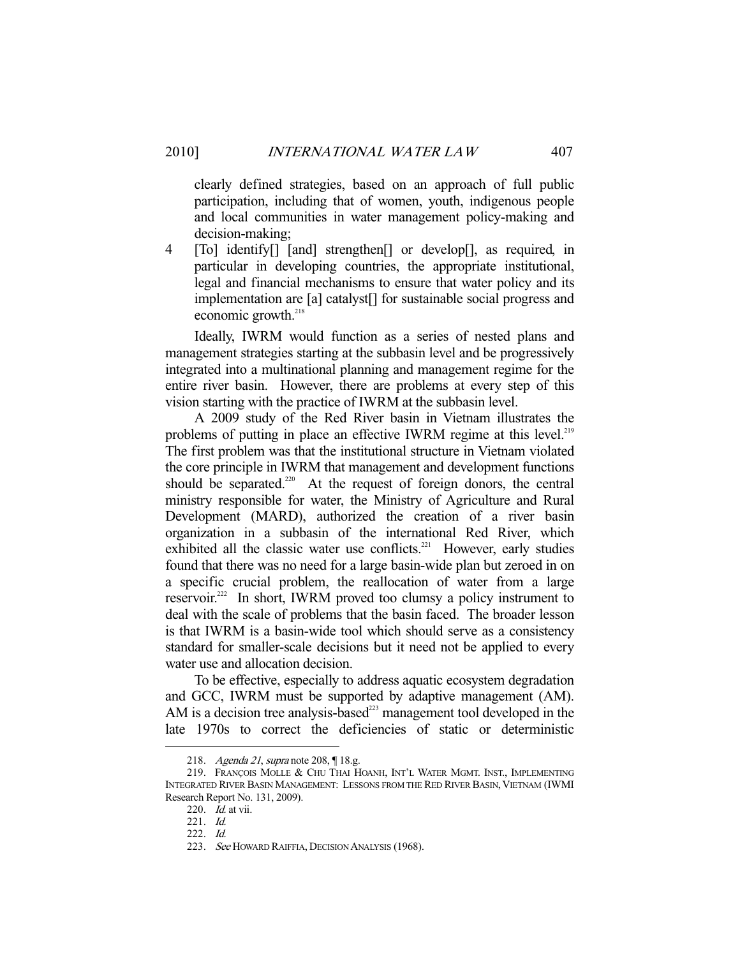clearly defined strategies, based on an approach of full public participation, including that of women, youth, indigenous people and local communities in water management policy-making and decision-making;

4 [To] identify[] [and] strengthen[] or develop[], as required, in particular in developing countries, the appropriate institutional, legal and financial mechanisms to ensure that water policy and its implementation are [a] catalyst[] for sustainable social progress and economic growth. $^{218}$ 

 Ideally, IWRM would function as a series of nested plans and management strategies starting at the subbasin level and be progressively integrated into a multinational planning and management regime for the entire river basin. However, there are problems at every step of this vision starting with the practice of IWRM at the subbasin level.

 A 2009 study of the Red River basin in Vietnam illustrates the problems of putting in place an effective IWRM regime at this level.<sup>219</sup> The first problem was that the institutional structure in Vietnam violated the core principle in IWRM that management and development functions should be separated.<sup>220</sup> At the request of foreign donors, the central ministry responsible for water, the Ministry of Agriculture and Rural Development (MARD), authorized the creation of a river basin organization in a subbasin of the international Red River, which exhibited all the classic water use conflicts.<sup>221</sup> However, early studies found that there was no need for a large basin-wide plan but zeroed in on a specific crucial problem, the reallocation of water from a large reservoir.<sup>222</sup> In short, IWRM proved too clumsy a policy instrument to deal with the scale of problems that the basin faced. The broader lesson is that IWRM is a basin-wide tool which should serve as a consistency standard for smaller-scale decisions but it need not be applied to every water use and allocation decision.

 To be effective, especially to address aquatic ecosystem degradation and GCC, IWRM must be supported by adaptive management (AM). AM is a decision tree analysis-based $^{223}$  management tool developed in the late 1970s to correct the deficiencies of static or deterministic

 <sup>218.</sup> Agenda 21, supra note 208, ¶ 18.g.

 <sup>219.</sup> FRANÇOIS MOLLE & CHU THAI HOANH, INT'L WATER MGMT. INST., IMPLEMENTING INTEGRATED RIVER BASIN MANAGEMENT: LESSONS FROM THE RED RIVER BASIN, VIETNAM (IWMI Research Report No. 131, 2009).

 <sup>220.</sup> Id. at vii.

 <sup>221.</sup> Id.

 <sup>222.</sup> Id.

<sup>223.</sup> See HOWARD RAIFFIA, DECISION ANALYSIS (1968).